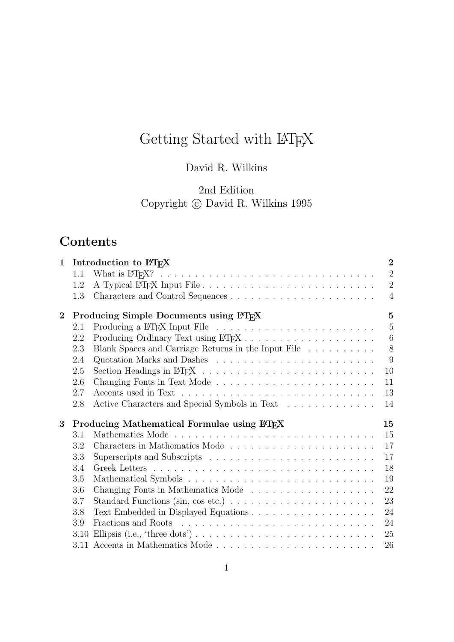# Getting Started with  $\operatorname{IATEX}$

# David R. Wilkins

# 2nd Edition Copyright  $\odot$  David R. Wilkins 1995

# Contents

|             | $\boldsymbol{2}$                                    |                                                                                                                                                                                                                                                                                                                                                                                 |
|-------------|-----------------------------------------------------|---------------------------------------------------------------------------------------------------------------------------------------------------------------------------------------------------------------------------------------------------------------------------------------------------------------------------------------------------------------------------------|
| 1.1         |                                                     | $\overline{2}$                                                                                                                                                                                                                                                                                                                                                                  |
| 1.2         | $\overline{2}$                                      |                                                                                                                                                                                                                                                                                                                                                                                 |
| 1.3         | $\overline{4}$                                      |                                                                                                                                                                                                                                                                                                                                                                                 |
|             | $5\overline{)}$                                     |                                                                                                                                                                                                                                                                                                                                                                                 |
| 2.1         | $\overline{5}$                                      |                                                                                                                                                                                                                                                                                                                                                                                 |
| 2.2         | $\,6\,$                                             |                                                                                                                                                                                                                                                                                                                                                                                 |
| 2.3         | $8\,$                                               |                                                                                                                                                                                                                                                                                                                                                                                 |
| 2.4         | 9                                                   |                                                                                                                                                                                                                                                                                                                                                                                 |
| 2.5         | 10                                                  |                                                                                                                                                                                                                                                                                                                                                                                 |
| 2.6         | 11                                                  |                                                                                                                                                                                                                                                                                                                                                                                 |
| 2.7         | 13                                                  |                                                                                                                                                                                                                                                                                                                                                                                 |
| 2.8         | Active Characters and Special Symbols in Text<br>14 |                                                                                                                                                                                                                                                                                                                                                                                 |
|             | 15                                                  |                                                                                                                                                                                                                                                                                                                                                                                 |
| 3.1         | 15                                                  |                                                                                                                                                                                                                                                                                                                                                                                 |
| 3.2         | 17                                                  |                                                                                                                                                                                                                                                                                                                                                                                 |
| 3.3         | 17                                                  |                                                                                                                                                                                                                                                                                                                                                                                 |
| 3.4         | 18                                                  |                                                                                                                                                                                                                                                                                                                                                                                 |
|             |                                                     |                                                                                                                                                                                                                                                                                                                                                                                 |
|             |                                                     |                                                                                                                                                                                                                                                                                                                                                                                 |
| 3.5         | 19                                                  |                                                                                                                                                                                                                                                                                                                                                                                 |
| 3.6         | 22                                                  |                                                                                                                                                                                                                                                                                                                                                                                 |
| 3.7         | 23                                                  |                                                                                                                                                                                                                                                                                                                                                                                 |
| 3.8         | 24                                                  |                                                                                                                                                                                                                                                                                                                                                                                 |
| 3.9<br>3.10 | 24<br>25                                            |                                                                                                                                                                                                                                                                                                                                                                                 |
|             |                                                     | Introduction to LAT <sub>RX</sub><br>A Typical L'T <sub>F</sub> X Input File<br>Producing Simple Documents using LATFX<br>Blank Spaces and Carriage Returns in the Input File $\;\ldots\; \ldots\; \ldots\; \ldots\;$<br>Section Headings in $\mathbb{M} \mathbb{R}$ $X \ldots \ldots \ldots \ldots \ldots \ldots \ldots \ldots$<br>Producing Mathematical Formulae using LATFX |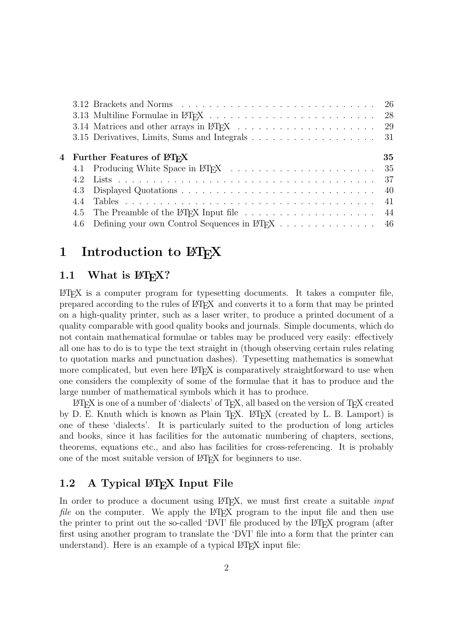|     | 4 Further Features of LAT <sub>EX</sub> | 35  |
|-----|-----------------------------------------|-----|
|     |                                         |     |
|     |                                         |     |
|     |                                         | -40 |
| 44  |                                         | 41  |
| 4.5 |                                         |     |
| 4.6 |                                         |     |
|     |                                         |     |

# 1 Introduction to  $\mathbb{F}T_FX$

### 1.1 What is  $\angle M$ <sub>F</sub>X?

LATEX is a computer program for typesetting documents. It takes a computer file, prepared according to the rules of LATEX and converts it to a form that may be printed on a high-quality printer, such as a laser writer, to produce a printed document of a quality comparable with good quality books and journals. Simple documents, which do not contain mathematical formulae or tables may be produced very easily: effectively all one has to do is to type the text straight in (though observing certain rules relating to quotation marks and punctuation dashes). Typesetting mathematics is somewhat more complicated, but even here LATEX is comparatively straightforward to use when one considers the complexity of some of the formulae that it has to produce and the large number of mathematical symbols which it has to produce.

 $\Delta E$ FEX is one of a number of 'dialects' of TEX, all based on the version of TEX created by D. E. Knuth which is known as Plain T<sub>E</sub>X. LAT<sub>E</sub>X (created by L. B. Lamport) is one of these 'dialects'. It is particularly suited to the production of long articles and books, since it has facilities for the automatic numbering of chapters, sections, theorems, equations etc., and also has facilities for cross-referencing. It is probably one of the most suitable version of LAT<sub>EX</sub> for beginners to use.

### 1.2 A Typical LATEX Input File

In order to produce a document using LAT<sub>EX</sub>, we must first create a suitable *input file* on the computer. We apply the  $\angle$ FFX program to the input file and then use the printer to print out the so-called 'DVI' file produced by the LAT<sub>EX</sub> program (after first using another program to translate the 'DVI' file into a form that the printer can understand). Here is an example of a typical LAT<sub>EX</sub> input file: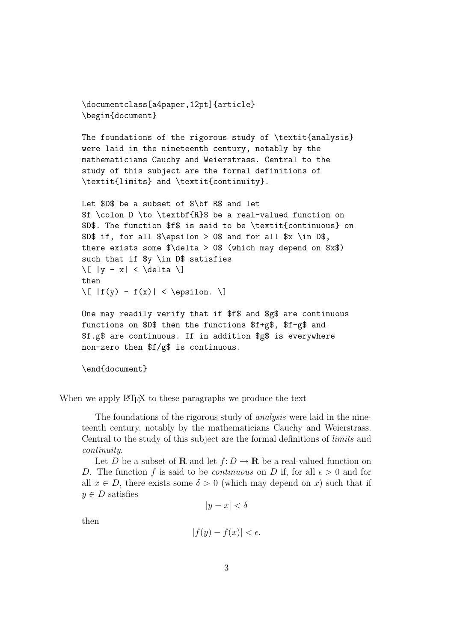```
\documentclass[a4paper,12pt]{article}
\begin{document}
```
The foundations of the rigorous study of \textit{analysis} were laid in the nineteenth century, notably by the mathematicians Cauchy and Weierstrass. Central to the study of this subject are the formal definitions of \textit{limits} and \textit{continuity}.

```
Let $D$ be a subset of $\bf R$ and let
$f \colon D \to \textbf{R}$ be a real-valued function on
$D$. The function $f$ is said to be \textit{continuous} on
$D$ if, for all \epsilon > 0$ and for all $x \in D$,
there exists some \delta \delta > 0 (which may depend on x\)
such that if $y \in D$ satisfies
\{ |y - x| < \delta \}then
\[\ \ |f(y) - f(x)| \leq \epsilon \]
```
One may readily verify that if \$f\$ and \$g\$ are continuous functions on \$D\$ then the functions \$f+g\$, \$f-g\$ and \$f.g\$ are continuous. If in addition \$g\$ is everywhere non-zero then \$f/g\$ is continuous.

\end{document}

When we apply LAT<sub>EX</sub> to these paragraphs we produce the text

The foundations of the rigorous study of *analysis* were laid in the nineteenth century, notably by the mathematicians Cauchy and Weierstrass. Central to the study of this subject are the formal definitions of limits and continuity.

Let D be a subset of **R** and let  $f: D \to \mathbf{R}$  be a real-valued function on D. The function f is said to be *continuous* on D if, for all  $\epsilon > 0$  and for all  $x \in D$ , there exists some  $\delta > 0$  (which may depend on x) such that if  $y \in D$  satisfies

$$
|y - x| < \delta
$$

then

$$
|f(y) - f(x)| < \epsilon.
$$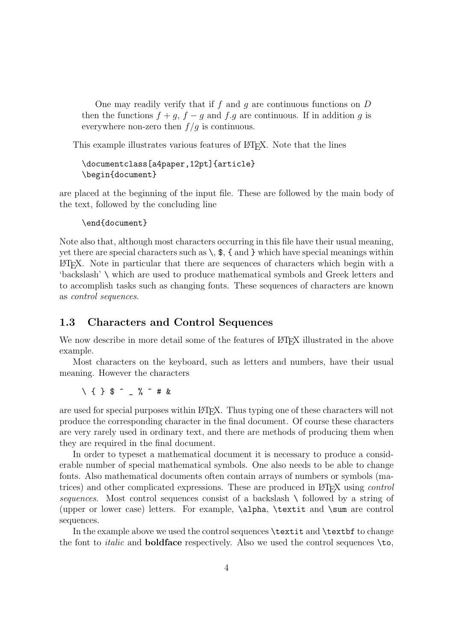One may readily verify that if f and g are continuous functions on  $D$ then the functions  $f + g$ ,  $f - g$  and  $f.g$  are continuous. If in addition g is everywhere non-zero then  $f/g$  is continuous.

This example illustrates various features of LATEX. Note that the lines

```
\documentclass[a4paper,12pt]{article}
\begin{document}
```
are placed at the beginning of the input file. These are followed by the main body of the text, followed by the concluding line

```
\end{document}
```
Note also that, although most characters occurring in this file have their usual meaning, yet there are special characters such as  $\setminus$ ,  $\$ ,  $\{$  and  $\}$  which have special meanings within LATEX. Note in particular that there are sequences of characters which begin with a 'backslash' \ which are used to produce mathematical symbols and Greek letters and to accomplish tasks such as changing fonts. These sequences of characters are known as control sequences.

### 1.3 Characters and Control Sequences

We now describe in more detail some of the features of  $\mathbb{P}\Gamma F X$  illustrated in the above example.

Most characters on the keyboard, such as letters and numbers, have their usual meaning. However the characters

\ { } \$ ^ \_ % ~ # &

are used for special purposes within LAT<sub>EX</sub>. Thus typing one of these characters will not produce the corresponding character in the final document. Of course these characters are very rarely used in ordinary text, and there are methods of producing them when they are required in the final document.

In order to typeset a mathematical document it is necessary to produce a considerable number of special mathematical symbols. One also needs to be able to change fonts. Also mathematical documents often contain arrays of numbers or symbols (matrices) and other complicated expressions. These are produced in LAT<sub>EX</sub> using *control* sequences. Most control sequences consist of a backslash \ followed by a string of (upper or lower case) letters. For example, \alpha, \textit and \sum are control sequences.

In the example above we used the control sequences \textit and \textbf to change the font to italic and boldface respectively. Also we used the control sequences \to,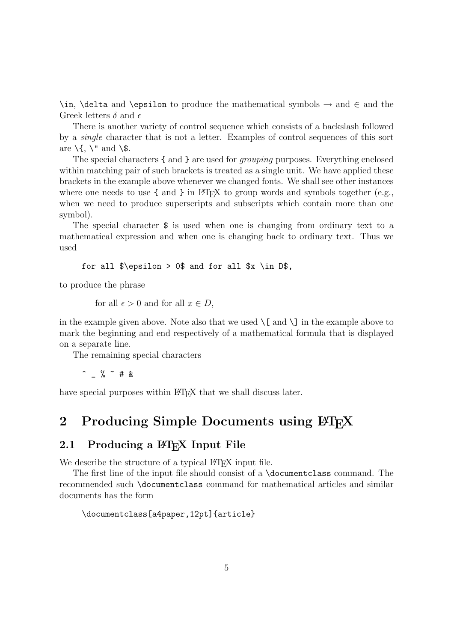$\in$ , \delta and \epsilon to produce the mathematical symbols  $\rightarrow$  and  $\in$  and the Greek letters  $\delta$  and  $\epsilon$ 

There is another variety of control sequence which consists of a backslash followed by a single character that is not a letter. Examples of control sequences of this sort are  $\setminus \{, \setminus \text{``and }\setminus \$ .

The special characters { and } are used for *grouping* purposes. Everything enclosed within matching pair of such brackets is treated as a single unit. We have applied these brackets in the example above whenever we changed fonts. We shall see other instances where one needs to use  $\{$  and  $\}$  in LAT<sub>EX</sub> to group words and symbols together (e.g., when we need to produce superscripts and subscripts which contain more than one symbol).

The special character  $\frac{1}{2}$  is used when one is changing from ordinary text to a mathematical expression and when one is changing back to ordinary text. Thus we used

for all  $\epsilon > 0$  and for all  $x \in D$ ,

to produce the phrase

for all  $\epsilon > 0$  and for all  $x \in D$ ,

in the example given above. Note also that we used  $\setminus$ [ and  $\setminus$ ] in the example above to mark the beginning and end respectively of a mathematical formula that is displayed on a separate line.

The remaining special characters

 $\hat{ }$   $\hat{ }$   $\%$   $\hat{ }$  # &

have special purposes within LAT<sub>EX</sub> that we shall discuss later.

## 2 Producing Simple Documents using  $\mu_{\text{Tx}}$

### 2.1 Producing a LAT<sub>F</sub>X Input File

We describe the structure of a typical LAT<sub>EX</sub> input file.

The first line of the input file should consist of a \documentclass command. The recommended such \documentclass command for mathematical articles and similar documents has the form

\documentclass[a4paper,12pt]{article}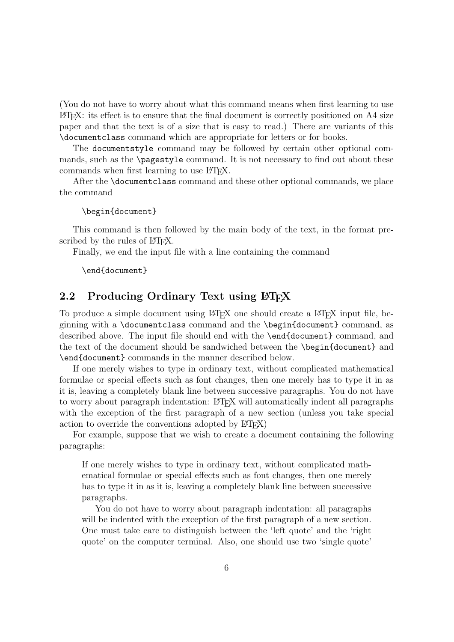(You do not have to worry about what this command means when first learning to use  $\Delta F$ FX: its effect is to ensure that the final document is correctly positioned on A4 size paper and that the text is of a size that is easy to read.) There are variants of this \documentclass command which are appropriate for letters or for books.

The documentstyle command may be followed by certain other optional commands, such as the \pagestyle command. It is not necessary to find out about these commands when first learning to use  $\Delta T$ FX.

After the \documentclass command and these other optional commands, we place the command

#### \begin{document}

This command is then followed by the main body of the text, in the format prescribed by the rules of  $EFTK$ .

Finally, we end the input file with a line containing the command

\end{document}

### 2.2 Producing Ordinary Text using LAT<sub>EX</sub>

To produce a simple document using LATEX one should create a LATEX input file, beginning with a \documentclass command and the \begin{document} command, as described above. The input file should end with the \end{document} command, and the text of the document should be sandwiched between the \begin{document} and \end{document} commands in the manner described below.

If one merely wishes to type in ordinary text, without complicated mathematical formulae or special effects such as font changes, then one merely has to type it in as it is, leaving a completely blank line between successive paragraphs. You do not have to worry about paragraph indentation: LATEX will automatically indent all paragraphs with the exception of the first paragraph of a new section (unless you take special action to override the conventions adopted by  $\langle \text{H} \rangle$ 

For example, suppose that we wish to create a document containing the following paragraphs:

If one merely wishes to type in ordinary text, without complicated mathematical formulae or special effects such as font changes, then one merely has to type it in as it is, leaving a completely blank line between successive paragraphs.

You do not have to worry about paragraph indentation: all paragraphs will be indented with the exception of the first paragraph of a new section. One must take care to distinguish between the 'left quote' and the 'right quote' on the computer terminal. Also, one should use two 'single quote'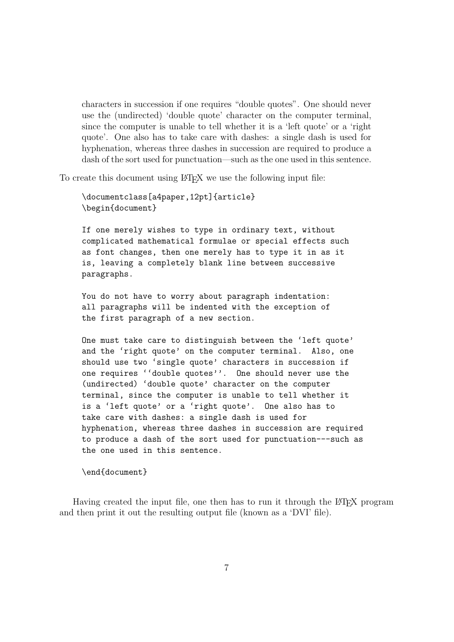characters in succession if one requires "double quotes". One should never use the (undirected) 'double quote' character on the computer terminal, since the computer is unable to tell whether it is a 'left quote' or a 'right quote'. One also has to take care with dashes: a single dash is used for hyphenation, whereas three dashes in succession are required to produce a dash of the sort used for punctuation—such as the one used in this sentence.

To create this document using  $\mathbb{F} F[X]$  we use the following input file:

```
\documentclass[a4paper,12pt]{article}
\begin{document}
```
If one merely wishes to type in ordinary text, without complicated mathematical formulae or special effects such as font changes, then one merely has to type it in as it is, leaving a completely blank line between successive paragraphs.

You do not have to worry about paragraph indentation: all paragraphs will be indented with the exception of the first paragraph of a new section.

One must take care to distinguish between the 'left quote' and the 'right quote' on the computer terminal. Also, one should use two 'single quote' characters in succession if one requires ''double quotes''. One should never use the (undirected) 'double quote' character on the computer terminal, since the computer is unable to tell whether it is a 'left quote' or a 'right quote'. One also has to take care with dashes: a single dash is used for hyphenation, whereas three dashes in succession are required to produce a dash of the sort used for punctuation---such as the one used in this sentence.

\end{document}

Having created the input file, one then has to run it through the L<sup>AT</sup>EX program and then print it out the resulting output file (known as a 'DVI' file).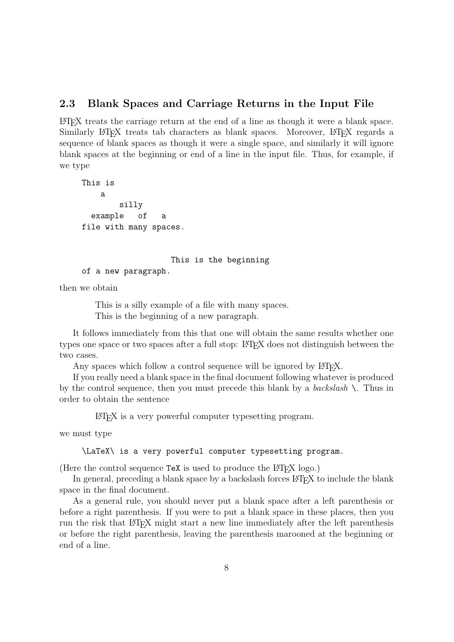### 2.3 Blank Spaces and Carriage Returns in the Input File

LATEX treats the carriage return at the end of a line as though it were a blank space. Similarly LATEX treats tab characters as blank spaces. Moreover, LATEX regards a sequence of blank spaces as though it were a single space, and similarly it will ignore blank spaces at the beginning or end of a line in the input file. Thus, for example, if we type

This is a silly example of a file with many spaces.

#### This is the beginning

of a new paragraph.

then we obtain

This is a silly example of a file with many spaces. This is the beginning of a new paragraph.

It follows immediately from this that one will obtain the same results whether one types one space or two spaces after a full stop: L<sup>AT</sup>EX does not distinguish between the two cases.

Any spaces which follow a control sequence will be ignored by  $\Delta F$ <sub>F</sub>X.

If you really need a blank space in the final document following whatever is produced by the control sequence, then you must precede this blank by a *backslash*  $\setminus$ . Thus in order to obtain the sentence

LATEX is a very powerful computer typesetting program.

we must type

\LaTeX\ is a very powerful computer typesetting program.

(Here the control sequence  $T \in X$  is used to produce the  $\mathbb{F} \in \mathbb{F} \times \mathbb{F}$  logo.)

In general, preceding a blank space by a backslash forces LATEX to include the blank space in the final document.

As a general rule, you should never put a blank space after a left parenthesis or before a right parenthesis. If you were to put a blank space in these places, then you run the risk that LAT<sub>E</sub>X might start a new line immediately after the left parenthesis or before the right parenthesis, leaving the parenthesis marooned at the beginning or end of a line.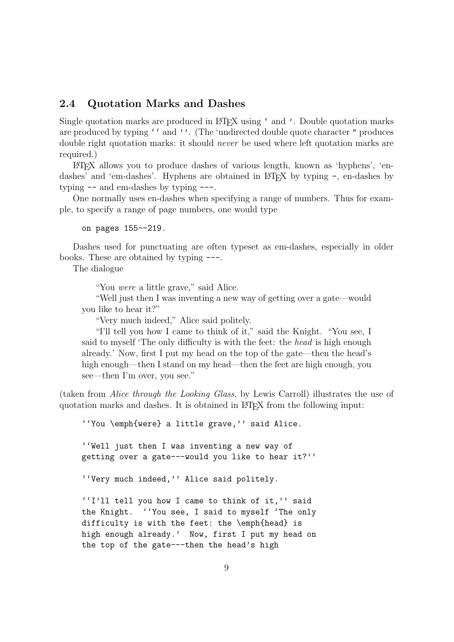### 2.4 Quotation Marks and Dashes

Single quotation marks are produced in LATEX using ' and '. Double quotation marks are produced by typing '' and ''. (The 'undirected double quote character " produces double right quotation marks: it should never be used where left quotation marks are required.)

LATEX allows you to produce dashes of various length, known as 'hyphens', 'endashes' and 'em-dashes'. Hyphens are obtained in LAT<sub>EX</sub> by typing -, en-dashes by typing -- and em-dashes by typing ---.

One normally uses en-dashes when specifying a range of numbers. Thus for example, to specify a range of page numbers, one would type

on pages 155--219.

Dashes used for punctuating are often typeset as em-dashes, especially in older books. These are obtained by typing ---.

The dialogue

"You were a little grave," said Alice.

"Well just then I was inventing a new way of getting over a gate—would you like to hear it?"

"Very much indeed," Alice said politely.

"I'll tell you how I came to think of it," said the Knight. "You see, I said to myself 'The only difficulty is with the feet: the head is high enough already.' Now, first I put my head on the top of the gate—then the head's high enough—then I stand on my head—then the feet are high enough, you see—then I'm over, you see."

(taken from Alice through the Looking Glass, by Lewis Carroll) illustrates the use of quotation marks and dashes. It is obtained in LATEX from the following input:

''You \emph{were} a little grave,'' said Alice.

''Well just then I was inventing a new way of getting over a gate---would you like to hear it?''

''Very much indeed,'' Alice said politely.

''I'll tell you how I came to think of it,'' said the Knight. ''You see, I said to myself 'The only difficulty is with the feet: the \emph{head} is high enough already.' Now, first I put my head on the top of the gate---then the head's high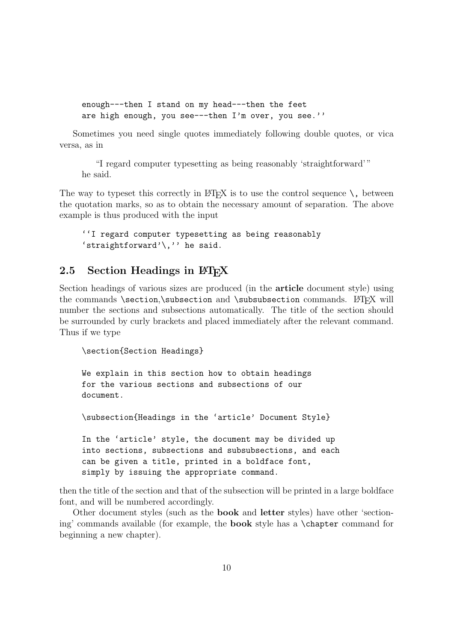```
enough---then I stand on my head---then the feet
are high enough, you see---then I'm over, you see.''
```
Sometimes you need single quotes immediately following double quotes, or vica versa, as in

"I regard computer typesetting as being reasonably 'straightforward' " he said.

The way to typeset this correctly in  $\mathbb{F} F_X$  is to use the control sequence  $\setminus$ , between the quotation marks, so as to obtain the necessary amount of separation. The above example is thus produced with the input

''I regard computer typesetting as being reasonably 'straightforward'\,'' he said.

### 2.5 Section Headings in LAT<sub>EX</sub>

Section headings of various sizes are produced (in the article document style) using the commands \section,\subsection and \subsubsection commands. LATEX will number the sections and subsections automatically. The title of the section should be surrounded by curly brackets and placed immediately after the relevant command. Thus if we type

\section{Section Headings}

We explain in this section how to obtain headings for the various sections and subsections of our document.

\subsection{Headings in the 'article' Document Style}

In the 'article' style, the document may be divided up into sections, subsections and subsubsections, and each can be given a title, printed in a boldface font, simply by issuing the appropriate command.

then the title of the section and that of the subsection will be printed in a large boldface font, and will be numbered accordingly.

Other document styles (such as the book and letter styles) have other 'sectioning' commands available (for example, the book style has a \chapter command for beginning a new chapter).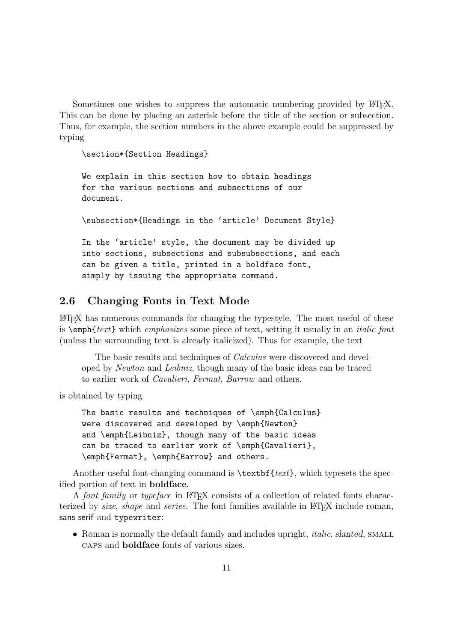Sometimes one wishes to suppress the automatic numbering provided by LATEX. This can be done by placing an asterisk before the title of the section or subsection. Thus, for example, the section numbers in the above example could be suppressed by typing

\section\*{Section Headings}

We explain in this section how to obtain headings for the various sections and subsections of our document.

\subsection\*{Headings in the 'article' Document Style}

In the 'article' style, the document may be divided up into sections, subsections and subsubsections, and each can be given a title, printed in a boldface font, simply by issuing the appropriate command.

### 2.6 Changing Fonts in Text Mode

LATEX has numerous commands for changing the typestyle. The most useful of these is  $\emptyset$  which *emphasizes* some piece of text, setting it usually in an *italic font* (unless the surrounding text is already italicized). Thus for example, the text

The basic results and techniques of *Calculus* were discovered and developed by Newton and Leibniz, though many of the basic ideas can be traced to earlier work of Cavalieri, Fermat, Barrow and others.

is obtained by typing

The basic results and techniques of \emph{Calculus} were discovered and developed by \emph{Newton} and \emph{Leibniz}, though many of the basic ideas can be traced to earlier work of \emph{Cavalieri}, \emph{Fermat}, \emph{Barrow} and others.

Another useful font-changing command is  $\text{text}, \text{which types}$  the specified portion of text in boldface.

A font family or typeface in LAT<sub>EX</sub> consists of a collection of related fonts characterized by *size, shape* and *series*. The font families available in LATEX include roman, sans serif and typewriter:

• Roman is normally the default family and includes upright, *italic*, *slanted*, SMALL caps and boldface fonts of various sizes.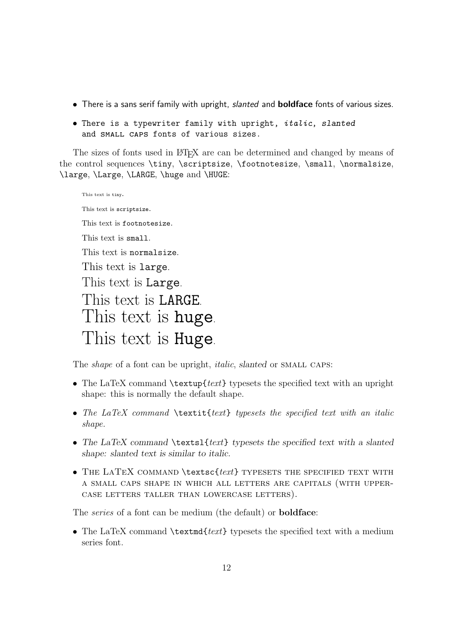- There is a sans serif family with upright, slanted and **boldface** fonts of various sizes.
- There is a typewriter family with upright, italic, slanted and small caps fonts of various sizes.

The sizes of fonts used in LAT<sub>EX</sub> are can be determined and changed by means of the control sequences \tiny, \scriptsize, \footnotesize, \small, \normalsize, \large, \Large, \LARGE, \huge and \HUGE:

This text is tiny. This text is scriptsize. This text is footnotesize. This text is small. This text is normalsize. This text is large. This text is **Large**. This text is LARGE. This text is huge. This text is **Huge**.

The *shape* of a font can be upright, *italic*, *slanted* or SMALL CAPS:

- The LaTeX command  $\text{text}$  typesets the specified text with an upright shape: this is normally the default shape.
- The LaTeX command \textit{text} typesets the specified text with an italic shape.
- The LaTeX command \textsl{text} typesets the specified text with a slanted shape: slanted text is similar to italic.
- THE LATEX COMMAND  $\text{text}$  textsc $\text{text}$  typesets the specified text with a small caps shape in which all letters are capitals (with uppercase letters taller than lowercase letters).

The *series* of a font can be medium (the default) or **boldface**:

• The LaTeX command  $\text{text}$  typesets the specified text with a medium series font.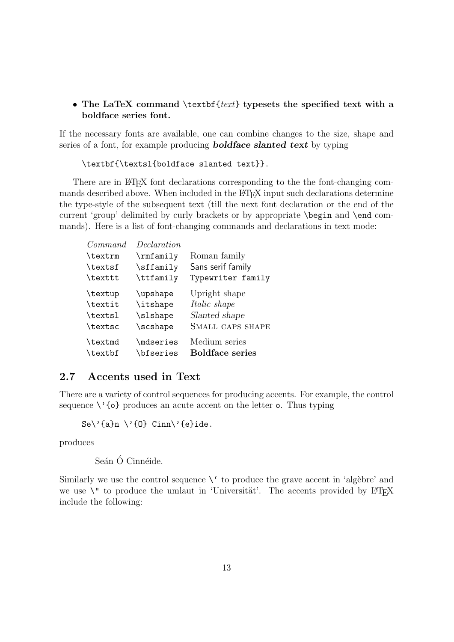### • The LaTeX command  $\text{text}$  typesets the specified text with a boldface series font.

If the necessary fonts are available, one can combine changes to the size, shape and series of a font, for example producing **boldface slanted text** by typing

\textbf{\textsl{boldface slanted text}}.

There are in LAT<sub>EX</sub> font declarations corresponding to the the font-changing commands described above. When included in the LATEX input such declarations determine the type-style of the subsequent text (till the next font declaration or the end of the current 'group' delimited by curly brackets or by appropriate \begin and \end commands). Here is a list of font-changing commands and declarations in text mode:

| Command | <i>Declaration</i> |                     |
|---------|--------------------|---------------------|
| \textrm | $\rm\$ {amily}     | Roman family        |
| \textsf | \sffamily          | Sans serif family   |
| \texttt | \ttfamily          | Typewriter family   |
| \textup | \upshape           | Upright shape       |
| \textit | \itshape           | <i>Italic shape</i> |
| \textsl | \slshape           | Slanted shape       |
| \textsc | \scshape           | SMALL CAPS SHAPE    |
| \textmd | \mdseries          | Medium series       |
| \textbf | \bfseries          | Boldface series     |

### 2.7 Accents used in Text

There are a variety of control sequences for producing accents. For example, the control sequence  $\backslash$ ' $\{o\}$  produces an acute accent on the letter o. Thus typing

Se $\backslash$ '{a}n  $\backslash$ '{0} Cinn $\backslash$ '{e}ide.

produces

Seán Ó Cinnéide.

Similarly we use the control sequence  $\setminus$  to produce the grave accent in 'algèbre' and we use  $\Upsilon$  to produce the umlaut in 'Universität'. The accents provided by  $\mathbb{F}$ F<sub>E</sub>X include the following: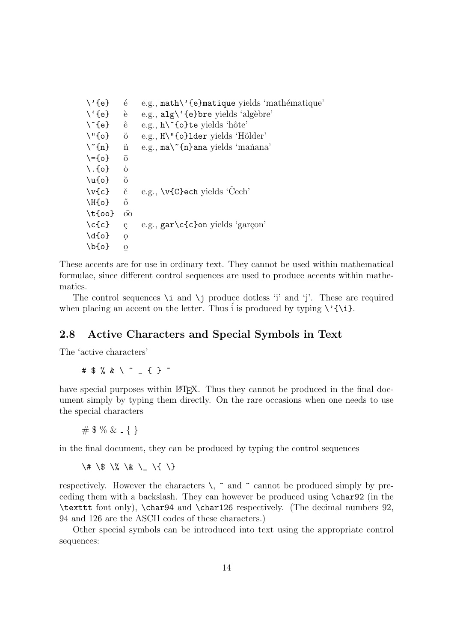| $\backslash$ '{e}         | $\acute{\text{e}}$      | e.g., math\'{e}matique yields 'mathématique' |
|---------------------------|-------------------------|----------------------------------------------|
| $\setminus \{e\}$         | è                       | e.g., alg\'{e}bre yields 'algèbre'           |
| $\setminus$ {e}           | ê                       | e.g., h\^{o}te yields 'hôte'                 |
| $\Upsilon$ "{o}           | $\ddot{\mathrm{o}}$     | e.g., H\"{o}1der yields 'Hölder'             |
| $\langle \hat{n} \rangle$ | $\tilde{n}$             | e.g., ma\~{n}ana yields 'mañana'             |
| $\{-\{o\}$                | $\overline{\textbf{O}}$ |                                              |
| $\setminus$ . { $\circ$ } | $\dot{\mathrm{o}}$      |                                              |
| $\u{o}$                   | $\breve{\mathrm{o}}$    |                                              |
| $\forall v$               | $\check{\rm c}$         | e.g., <i>\v</i> {C}ech yields 'Cech'         |
| $\H{o}$                   | ő                       |                                              |
| $\setminus t$ {00}        | $\hat{OQ}$              |                                              |
| $\c{c}$                   | ç                       | e.g., $gar\c{c}$ on yields 'garcon'          |
| $\{d\{o\}$                | $\mathcal{O}$           |                                              |
| $\b{b}$                   | $\overline{O}$          |                                              |
|                           |                         |                                              |

These accents are for use in ordinary text. They cannot be used within mathematical formulae, since different control sequences are used to produce accents within mathematics.

The control sequences  $\iota$  and  $\iota$  produce dotless 'i' and 'j'. These are required when placing an accent on the letter. Thus i is produced by typing  $\\$  { $\iota$ }.

### 2.8 Active Characters and Special Symbols in Text

The 'active characters'

#  $$ % & \csc \theta \rightarrow \mathbb{R}^+ \$ 

have special purposes within LATEX. Thus they cannot be produced in the final document simply by typing them directly. On the rare occasions when one needs to use the special characters

 $# $ % & . {\in}$ 

in the final document, they can be produced by typing the control sequences

\# \\$ \% \& \\_ \{ \}

respectively. However the characters  $\setminus$ ,  $\hat{ }$  and  $\tilde{ }$  cannot be produced simply by preceding them with a backslash. They can however be produced using \char92 (in the \texttt font only), \char94 and \char126 respectively. (The decimal numbers 92, 94 and 126 are the ASCII codes of these characters.)

Other special symbols can be introduced into text using the appropriate control sequences: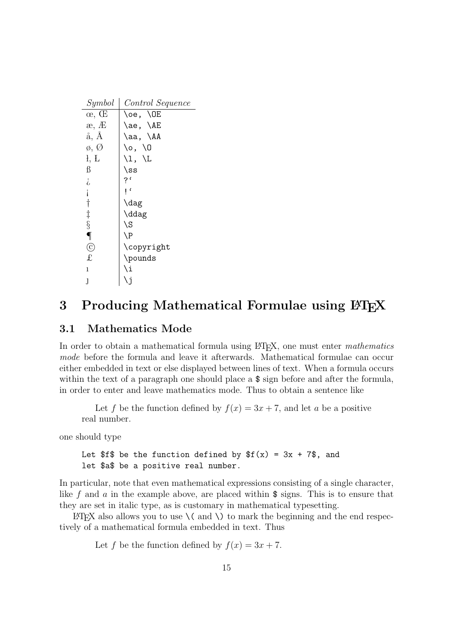| Symbol         | Control Sequence             |
|----------------|------------------------------|
| œ, Œ           | \oe, \OE                     |
| æ, Æ           | \ae, \AE                     |
| å, Å           | \aa, \AA                     |
| ø, Ø           | \o, \O                       |
| ł, Ł           | $\backslash 1, \backslash L$ |
| ß              | $\sqrt{\text{s}}$            |
| į,             | ?'                           |
| $\mathbf{i}$   | $\mathsf{L}^{\mathsf{c}}$    |
|                | \dag                         |
| $+\frac{1}{3}$ | \ddag                        |
|                | $\setminus S$                |
| $\P$           | \P                           |
| $\odot$        | \copyright                   |
| £              | \pounds                      |
| 1              | \i                           |
| J              |                              |

## 3 Producing Mathematical Formulae using  $\mu_{\text{Tx}}$

### 3.1 Mathematics Mode

In order to obtain a mathematical formula using  $\Delta T$ <sub>EX</sub>, one must enter mathematics mode before the formula and leave it afterwards. Mathematical formulae can occur either embedded in text or else displayed between lines of text. When a formula occurs within the text of a paragraph one should place a  $\frac{1}{2}$  sign before and after the formula, in order to enter and leave mathematics mode. Thus to obtain a sentence like

Let f be the function defined by  $f(x) = 3x + 7$ , and let a be a positive real number.

one should type

Let  $f$ \$ be the function defined by  $f(x) = 3x + 7$ \$, and let \$a\$ be a positive real number.

In particular, note that even mathematical expressions consisting of a single character, like f and a in the example above, are placed within  $\frac{1}{2}$  signs. This is to ensure that they are set in italic type, as is customary in mathematical typesetting.

 $\Delta E$ Fig. Also allows you to use  $\setminus$  and  $\setminus$  to mark the beginning and the end respectively of a mathematical formula embedded in text. Thus

Let f be the function defined by  $f(x) = 3x + 7$ .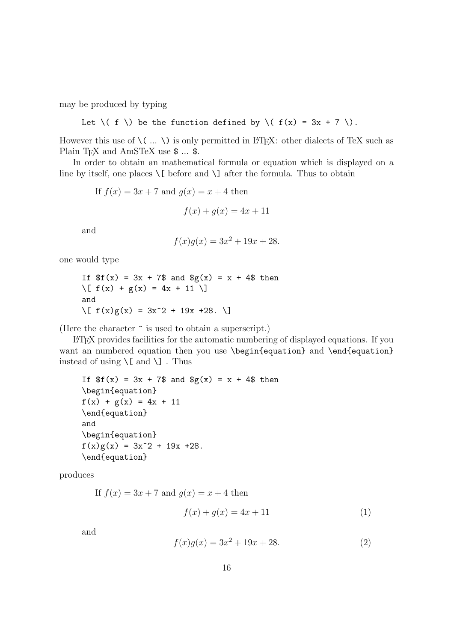may be produced by typing

Let 
$$
\setminus
$$
 ( f  $\setminus$ ) be the function defined by  $\setminus$  ( f(x) = 3x + 7  $\setminus$ ).

However this use of  $\setminus$  ( ...  $\setminus$  ) is only permitted in LATEX: other dialects of TeX such as Plain T<sub>E</sub>X and AmSTeX use  $\frac{1}{2}$  ...  $\frac{1}{2}$ .

In order to obtain an mathematical formula or equation which is displayed on a line by itself, one places  $\setminus$ [ before and  $\setminus$ ] after the formula. Thus to obtain

If 
$$
f(x) = 3x + 7
$$
 and  $g(x) = x + 4$  then

$$
f(x) + g(x) = 4x + 11
$$

and

$$
f(x)g(x) = 3x^2 + 19x + 28.
$$

one would type

If 
$$
\$f(x) = 3x + 7\$
$$
 and  $\$g(x) = x + 4\$$  then  
\n $\left[\begin{array}{r}f(x) + g(x) = 4x + 11 \\ \text{and} \end{array}\right]$   
\n $\left[\begin{array}{r}f(x)g(x) = 3x^2 + 19x + 28. \\ \end{array}\right]$ 

(Here the character  $\widehat{\phantom{a}}$  is used to obtain a superscript.)

LATEX provides facilities for the automatic numbering of displayed equations. If you want an numbered equation then you use \begin{equation} and \end{equation} instead of using  $\setminus$ [ and  $\setminus$ ]. Thus

```
If f(x) = 3x + 7 and f(x) = x + 4 then
\begin{equation}
f(x) + g(x) = 4x + 11\end{equation}
and
\begin{equation}
f(x)g(x) = 3x^2 + 19x +28.
\end{equation}
```
produces

If 
$$
f(x) = 3x + 7
$$
 and  $g(x) = x + 4$  then

$$
f(x) + g(x) = 4x + 11
$$
 (1)

and

$$
f(x)g(x) = 3x^2 + 19x + 28.
$$
 (2)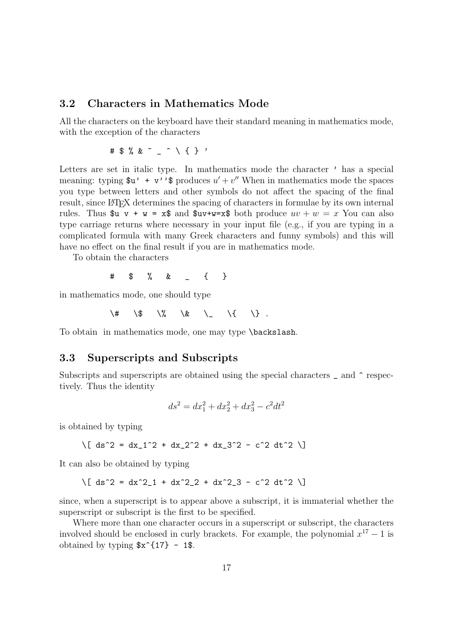### 3.2 Characters in Mathematics Mode

All the characters on the keyboard have their standard meaning in mathematics mode, with the exception of the characters

$$
\# \$ \%
$$
 &  $\degree$  \_ ^ <  $\{ \}$ 

Letters are set in italic type. In mathematics mode the character  $\cdot$  has a special meaning: typing  $u' + v'$  is produces  $u' + v''$  When in mathematics mode the spaces you type between letters and other symbols do not affect the spacing of the final result, since LAT<sub>EX</sub> determines the spacing of characters in formulae by its own internal rules. Thus  $\n \mathsf{u} \cdot \mathsf{v} + \mathsf{w} = x \$  and  $\n \mathsf{u} \cdot \mathsf{v} + \mathsf{w} = x \mathsf{v}$  both produce  $uv + w = x$  You can also type carriage returns where necessary in your input file (e.g., if you are typing in a complicated formula with many Greek characters and funny symbols) and this will have no effect on the final result if you are in mathematics mode.

To obtain the characters

# \$ % & \_ { }

in mathematics mode, one should type

 $\lambda$   $\uparrow$   $\lambda$   $\downarrow$   $\downarrow$   $\lambda$   $\downarrow$   $\downarrow$   $\downarrow$   $\downarrow$   $\downarrow$   $\downarrow$   $\downarrow$   $\downarrow$   $\downarrow$   $\downarrow$   $\downarrow$   $\downarrow$   $\downarrow$   $\downarrow$   $\downarrow$   $\downarrow$   $\downarrow$   $\downarrow$   $\downarrow$   $\downarrow$   $\downarrow$   $\downarrow$   $\downarrow$   $\downarrow$   $\downarrow$   $\downarrow$   $\downarrow$   $\downarrow$   $\downarrow$   $\downarrow$   $\downarrow$   $\$ 

To obtain in mathematics mode, one may type \backslash.

### 3.3 Superscripts and Subscripts

Subscripts and superscripts are obtained using the special characters  $\overline{\phantom{a}}$  and  $\hat{\phantom{a}}$  respectively. Thus the identity

$$
ds^2 = dx_1^2 + dx_2^2 + dx_3^2 - c^2 dt^2
$$

is obtained by typing

$$
\[ \text{ds}^2 = dx_1^2 + dx_2^2 + dx_3^2 - c^2 dt^2 \] \]
$$

It can also be obtained by typing

 $\[\int ds^2 = dx^2 \cdot 1 + dx^2 \cdot 2 + dx^2 \cdot 3 - c^2 \cdot dt^2 \]$ 

since, when a superscript is to appear above a subscript, it is immaterial whether the superscript or subscript is the first to be specified.

Where more than one character occurs in a superscript or subscript, the characters involved should be enclosed in curly brackets. For example, the polynomial  $x^{17} - 1$  is obtained by typing  $x^{17}$  - 1\$.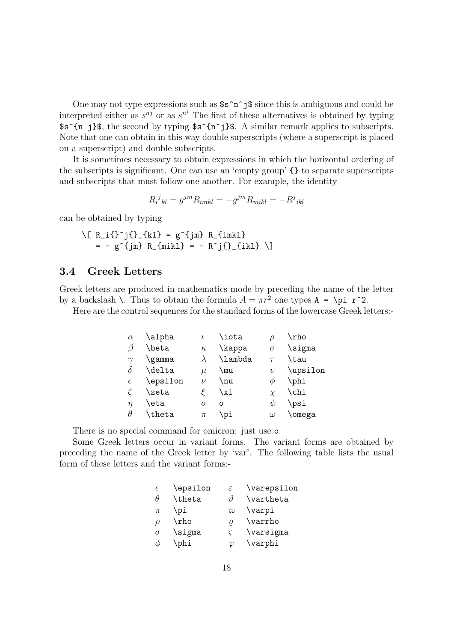One may not type expressions such as  $s^{\text{sn}}$  js since this is ambiguous and could be interpreted either as  $s^{nj}$  or as  $s^{nj}$ . The first of these alternatives is obtained by typing  $s^{n}$  i}\$, the second by typing  $s^{n}$  i}\$. A similar remark applies to subscripts. Note that one can obtain in this way double superscripts (where a superscript is placed on a superscript) and double subscripts.

It is sometimes necessary to obtain expressions in which the horizontal ordering of the subscripts is significant. One can use an 'empty group' {} to separate superscripts and subscripts that must follow one another. For example, the identity

$$
R_i^j{}_{kl} = g^{jm}R_{imkl} = -g^{jm}R_{mikl} = -R^j{}_{ikl}
$$

can be obtained by typing

$$
\begin{aligned} \setminus [ R_i^j \hat{\mathbf{y}}_j^j \hat{\mathbf{y}}_k] &= g^j \{ j \mathbf{m} \} R_i^{\text{link1}} \\ &= - g^j \{ j \mathbf{m} \} R_i^{\text{link1}} = - R^j \{ j \}^{\text{link1}} \ \setminus \end{aligned}
$$

### 3.4 Greek Letters

Greek letters are produced in mathematics mode by preceding the name of the letter by a backslash  $\setminus$ . Thus to obtain the formula  $A = \pi r^2$  one types  $A = \pi r^2$ .

Here are the control sequences for the standard forms of the lowercase Greek letters:-

| $\alpha$   | \alpha   |          | \iota   |           | \rho     |
|------------|----------|----------|---------|-----------|----------|
| β          | \beta    | $\kappa$ | \kappa  | $\sigma$  | \sigma   |
| $\gamma$   | \gamma   |          | \lambda | $\tau$    | \tau     |
| δ          | \delta   | $\mu$    | \mu     | $\eta$    | \upsilon |
| $\epsilon$ | \epsilon | $\nu$    | \nu     | $\varphi$ | \phi     |
|            | \zeta    |          | \xi     | $\chi$    | \chi     |
| $\eta$     | \eta     | $\Omega$ | O       | V         | \psi     |
| Ĥ          | \theta   | π        | \pi     | $\omega$  | \omega   |

There is no special command for omicron: just use o.

Some Greek letters occur in variant forms. The variant forms are obtained by preceding the name of the Greek letter by 'var'. The following table lists the usual form of these letters and the variant forms:-

| $\epsilon$ | \epsilon | $\varepsilon$ | \varepsilon |
|------------|----------|---------------|-------------|
| $\theta$   | \theta   | 1I            | \vartheta   |
| $\pi$      | \pi      | $\varpi$      | \varpi      |
| $\rho$     | \rho     | 0             | \varrho     |
| $\sigma$   | \sigma   |               | \varsigma   |
|            | \phi     |               | \varphi     |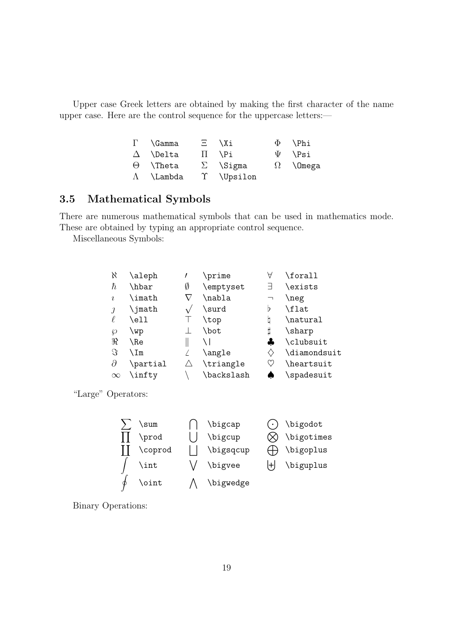Upper case Greek letters are obtained by making the first character of the name upper case. Here are the control sequence for the uppercase letters:—

| $\Gamma$ \Gamma   |              | $\Xi$ \Xi       | $\Phi$ \Phi     |
|-------------------|--------------|-----------------|-----------------|
| $\Delta$ \Delta   | $\mathbf{H}$ | ∣∖Pi            | $\Psi$ \Psi     |
| $\Theta$ \Theta   |              | $\Sigma$ \Sigma | $\Omega$ \Omega |
| $\Lambda$ \Lambda |              | T \Upsilon      |                 |

## 3.5 Mathematical Symbols

There are numerous mathematical symbols that can be used in mathematics mode. These are obtained by typing an appropriate control sequence.

Miscellaneous Symbols:

| X                   | \aleph   |   | \prime     | Α                              | \forall             |
|---------------------|----------|---|------------|--------------------------------|---------------------|
| ħ                   | \hbar    | Ø | \emptyset  | ㅋ                              | \exists             |
| $\boldsymbol{\eta}$ | \imath   |   | \nabla     | ⇁                              | $\neq$              |
| $\boldsymbol{\eta}$ | \jmath   |   | \surd      | Þ                              | \flat               |
|                     | \ell     |   | \top       |                                | \natural            |
| Ю                   | \wp      |   | \bot       | ij                             | \sharp              |
| $\Re$               | \Re      |   |            | ക്                             | \clubsuit           |
| $\Im$               | ∖Im      |   | \angle     | $\left\langle {}\right\rangle$ | \diamondsuit        |
| $\partial$          | \partial |   | \triangle  | V                              | \heartsuit          |
| $\infty$            | \infty   |   | \backslash |                                | $\verb \spadesuit"$ |
|                     |          |   |            |                                |                     |

"Large" Operators:

| \sum    | \bigcap   |   | \bigodot   |
|---------|-----------|---|------------|
| \prod   | \bigcup   |   | \bigotimes |
| \coprod | \bigsqcup |   | \bigoplus  |
| \int    | \bigvee   | 4 | \biguplus  |
| \oint   | \bigwedge |   |            |

Binary Operations: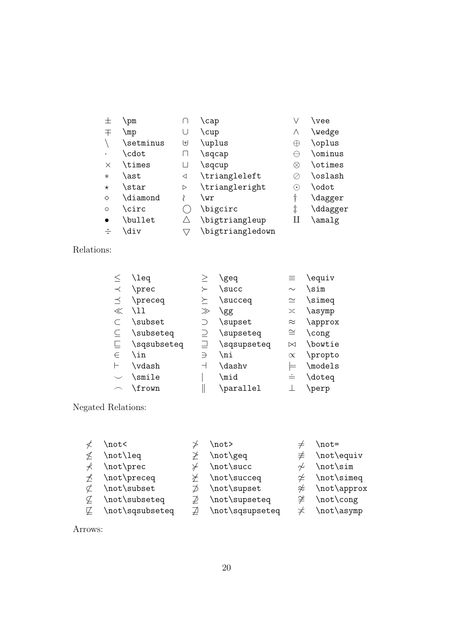| 士        | <b>pm</b> |                  | $\cap$           |                          | \vee           |
|----------|-----------|------------------|------------------|--------------------------|----------------|
| 干        | \mp       | U                | \cup             | Λ                        | \wedge         |
|          | \setminus | ⊎                | \uplus           | ₩                        | \oplus         |
|          | \cdot     |                  | \sqcap           |                          | \ominus        |
| $\times$ | \times    | $\mathsf{L}$     | \sqcup           | ⊗                        | \otimes        |
| $\ast$   | \ast      | ◁                | \triangleleft    |                          | \oslash        |
| $\star$  | \star     | $\triangleright$ | \triangleright   | $\left( \bullet \right)$ | \odot          |
| ♦        | \diamond  |                  | \wr              |                          | <b>\dagger</b> |
| $\circ$  | \circ     |                  | \bigcirc         | ţ                        | \ddagger       |
|          | \bullet   | Л                | \bigtriangleup   |                          | \amalg         |
|          | \div      |                  | \bigtriangledown |                          |                |

Relations:

|         | $\lambda$   | >             | \geq        | ≡         | \equiv  |
|---------|-------------|---------------|-------------|-----------|---------|
| $\prec$ | \prec       | ≻             | \succ       | $\sim$    | \sim    |
| ≺       | \preceq     | ≻             | \succeq     | $\simeq$  | $\sum$  |
| $\ll$   | \11         | $\gg$         | \gg         | $\asymp$  | \asymp  |
|         | \subset     |               | \supset     | $\approx$ | \approx |
|         | \subseteq   |               | \supseteq   | $\cong$   | \cong   |
|         | \sqsubseteq |               | \sqsupseteq | $\bowtie$ | \bowtie |
| $\in$   | \in         | $\Rightarrow$ | \ni         | $\propto$ | \propto |
|         | \vdash      |               | \dashv      |           | \models |
|         | \smile      |               | \mid        | $\dot{=}$ | \doteq  |
|         | \frown      |               | \parallel   |           | \perp   |

Negated Relations:

|         | \not<           |   | \not>           |           | \not=                   |
|---------|-----------------|---|-----------------|-----------|-------------------------|
|         | \not\leq        |   | \not\geq        | ≢         | \not\equiv              |
|         | \not\prec       |   | \not\succ       | ≁         | \not\sim                |
| $\star$ | \not\preceq     |   | \not\succeq     |           | $\not\simeq$ \not\simeq |
|         | \not\subset     |   | \not\supset     | $\approx$ | \not\approx             |
| ¢       | \not\subseteq   |   | \not\supseteq   | $\cong$   | \not\cong               |
|         | \not\sqsubseteq | ↵ | \not\sqsupseteq |           | \not\asymp              |

Arrows: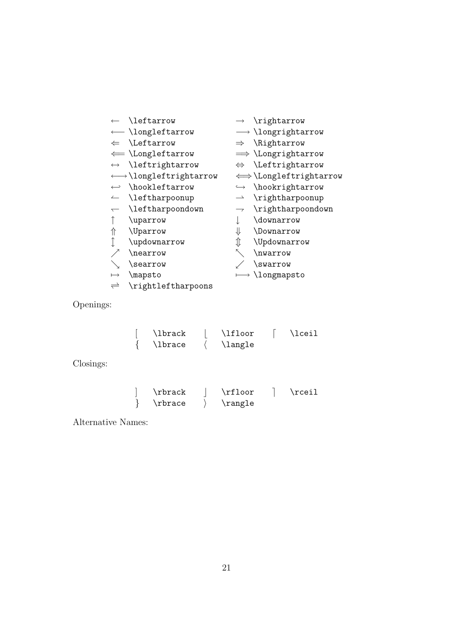| \leftarrow                            | $\rightarrow$ \rightarrow                   |
|---------------------------------------|---------------------------------------------|
| ← \longleftarrow                      | $\longrightarrow \text{longrightarrow}$     |
| $\Leftarrow$ \Leftarrow               | $\Rightarrow$ \Rightarrow                   |
| $\leftarrow \text{Longleftarrow}$     | $\implies$ \Longrightarrow                  |
| $\leftrightarrow$ \leftrightarrow     | $\Leftrightarrow$ \Leftrightarrow           |
| $\longleftrightarrow \text{longleft}$ | $\iff$ \Longleftrightarrow                  |
| \hookleftarrow                        | $\hookrightarrow \text{hookrightarrow}$     |
| \leftharpoonup                        | \rightharpoonup<br>$\overline{\phantom{a}}$ |
| \leftharpoondown                      | \rightharpoondown                           |
| \uparrow                              | \downarrow                                  |
| <i><u><b>Nparrow</b></u></i><br>⇑     | ⇓<br><i><b>\Downarrow</b></i>               |
| \updownarrow                          | ⇕<br><i><u><b>Npdownarrow</b></u></i>       |
| \nearrow                              | \nwarrow                                    |
| \searrow                              | \swarrow                                    |
| \mapsto<br>$\mapsto$                  | \longmapsto                                 |
| \rightleftharpoons                    |                                             |

Openings:

| \lbrack | \lfloor | \lceil |
|---------|---------|--------|
| \lbrace | \langle |        |

Closings:

| \rbrack | $\lfloor r f \rfloor$ oor | \rceil |
|---------|---------------------------|--------|
| \rbrace | \rangle                   |        |

Alternative Names: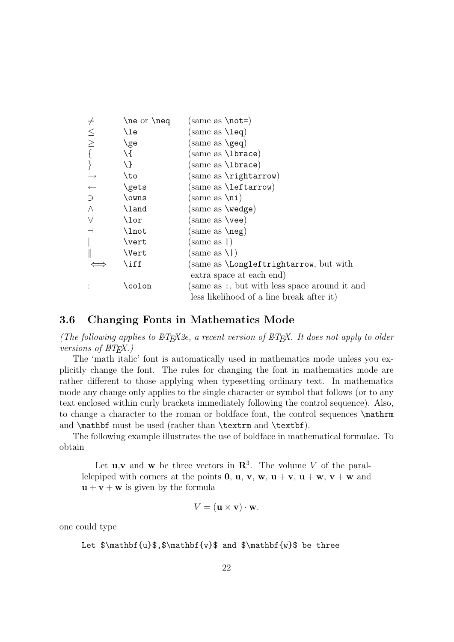| $\not=$       | \ne or \neq | (same as $\text{not=}$ )                           |
|---------------|-------------|----------------------------------------------------|
| $\leq$        | \le         | $(same as \leq)$                                   |
|               | \ge         | $(same as \geqslant)$                              |
|               | $\setminus$ | (same as <b>\lbrace</b> )                          |
|               | \}          | (same as <b>\lbrace</b> )                          |
|               | \to         | $(same as \rightarrow \rightarrow)$                |
|               | \gets       | $(same as \left\backslash \text{leftarrow}\right)$ |
| $\Rightarrow$ | \owns       | $(same as \n\infty)$                               |
| Λ             | \land       | (same as <b>\wedge</b> )                           |
| V             | $\ln$       | (same as $\vee$ ee)                                |
|               | \lnot       | $(same as \neq)$                                   |
|               | \vert       | $(same as \)$                                      |
|               | \Vert       | $(same as \1)$                                     |
|               | \iff        | (same as <b>\Longleftrightarrow</b> , but with     |
|               |             | extra space at each end)                           |
|               | \colon      | (same as:, but with less space around it and       |
|               |             | less likelihood of a line break after it)          |

### 3.6 Changing Fonts in Mathematics Mode

(The following applies to  $BT\cancel{F}X2\epsilon$ , a recent version of  $BT\cancel{F}X$ . It does not apply to older versions of  $BT<sub>F</sub>X$ .)

The 'math italic' font is automatically used in mathematics mode unless you explicitly change the font. The rules for changing the font in mathematics mode are rather different to those applying when typesetting ordinary text. In mathematics mode any change only applies to the single character or symbol that follows (or to any text enclosed within curly brackets immediately following the control sequence). Also, to change a character to the roman or boldface font, the control sequences  $\mathcal{X}$ and \mathbf must be used (rather than \textrm and \textbf).

The following example illustrates the use of boldface in mathematical formulae. To obtain

Let  $\mathbf{u}, \mathbf{v}$  and  $\mathbf{w}$  be three vectors in  $\mathbb{R}^3$ . The volume V of the parallelepiped with corners at the points **0**, **u**, **v**, **w**, **u** + **v**, **u** + **w**, **v** + **w** and  $u + v + w$  is given by the formula

$$
V = (\mathbf{u} \times \mathbf{v}) \cdot \mathbf{w}.
$$

one could type

```
Let \mathbf{u}, \mathbf{v} and \mathbf{w} be three
```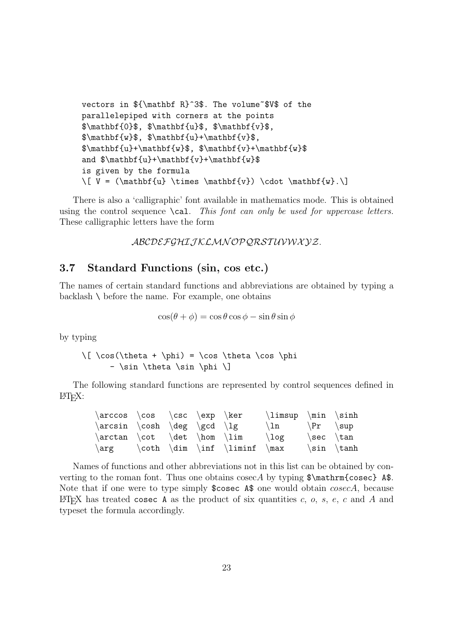```
vectors in ${\mathbf R}^3$. The volume~$V$ of the
parallelepiped with corners at the points
\mathbf{0}, \mathbf{u}, \mathbf{v},
\mathbf{w}, \mathbf{u}+\mathbf{v},
$\mathbf{u}+\mathbf{w}$, $\mathbf{v}+\mathbf{w}$
and \mathbf{u}+\mathbf{v}+\mathbf{w}is given by the formula
\[\ V = (\mathbf{u} \times \mathbf{v}) \cdot \mathbf{w}.\]
```
There is also a 'calligraphic' font available in mathematics mode. This is obtained using the control sequence  $\setminus$  cal. This font can only be used for uppercase letters. These calligraphic letters have the form

ABCDEFGHIJ KLMN OPQRST UVWX YZ.

### 3.7 Standard Functions (sin, cos etc.)

The names of certain standard functions and abbreviations are obtained by typing a backlash \ before the name. For example, one obtains

$$
\cos(\theta + \phi) = \cos\theta\cos\phi - \sin\theta\sin\phi
$$

by typing

\[ \cos(\theta + \phi) = \cos \theta \cos \phi  $-$  \sin \theta \sin \phi \]

The following standard functions are represented by control sequences defined in  $L^2$ FX:

| $\arccos \cos \csc \exp \ker$ |  |                                                | $\limsup$ $\min$ $\sinh$               |               |                |
|-------------------------------|--|------------------------------------------------|----------------------------------------|---------------|----------------|
| $\arcsin \cosh \deg \gcd \lg$ |  |                                                | $\ln \quad \text{Pr} \quad \text{sup}$ |               |                |
|                               |  | $\arctan \cot \det \hom \lim \Big($            |                                        | $\sec \ \tan$ |                |
|                               |  | $\arg \ {\coth \dim \int \liminf \liminf \max$ |                                        |               | $\sin \ \tanh$ |

Names of functions and other abbreviations not in this list can be obtained by converting to the roman font. Thus one obtains  $\csc A$  by typing  $\mathrm{cos} \$  A\$. Note that if one were to type simply \$cosec A\$ one would obtain *cosecA*, because EX has treated cosec A as the product of six quantities c, o, s, e, c and A and typeset the formula accordingly.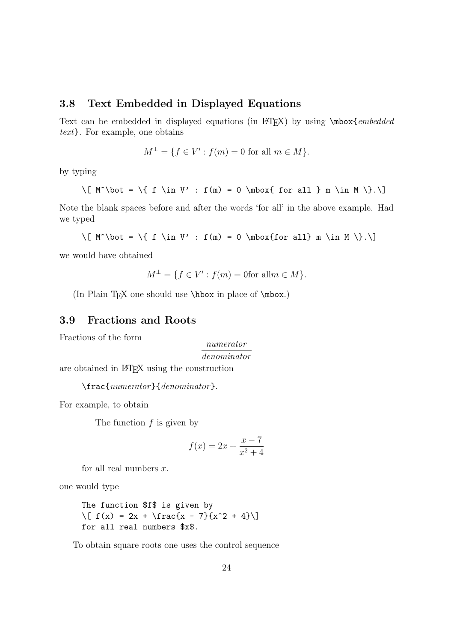### 3.8 Text Embedded in Displayed Equations

Text can be embedded in displayed equations (in  $\langle$ ETEX) by using \mbox{embedded text}. For example, one obtains

$$
M^{\perp} = \{ f \in V' : f(m) = 0 \text{ for all } m \in M \}.
$$

by typing

```
\[\ \mathbb{M}^{\bot} = \{ f \in V' : f(m) = 0 \mbox{ for all } m \in M \}. \]\]
```
Note the blank spaces before and after the words 'for all' in the above example. Had we typed

```
\[\ \mathbb{M}^{\bot} = \{\ f \in V : f(m) = 0 \mbox{for all} m \in M \}. \]\]
```
we would have obtained

 $M^{\perp} = \{ f \in V' : f(m) = 0 \text{for all } m \in M \}.$ 

(In Plain TEX one should use \hbox in place of \mbox.)

#### 3.9 Fractions and Roots

Fractions of the form

### numerator

denominator

are obtained in LATEX using the construction

```
\frac{numerator}{denominator}.
```
For example, to obtain

The function  $f$  is given by

$$
f(x) = 2x + \frac{x-7}{x^2+4}
$$

for all real numbers  $x$ .

one would type

```
The function $f$ is given by
\[\ \{ f(x) = 2x + \frac{x - 7}{x^2 + 4}\}\]for all real numbers $x$.
```
To obtain square roots one uses the control sequence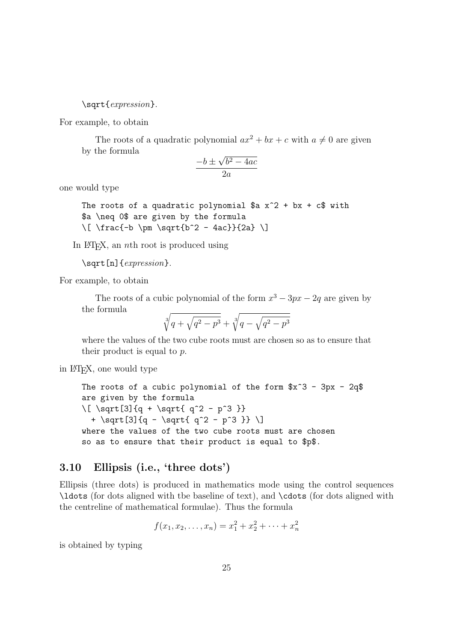\sqrt{expression}.

For example, to obtain

The roots of a quadratic polynomial  $ax^2 + bx + c$  with  $a \neq 0$  are given by the formula

$$
\frac{-b \pm \sqrt{b^2 - 4ac}}{2a}
$$

one would type

The roots of a quadratic polynomial  $a x^2 + bx + c$  with \$a \neq 0\$ are given by the formula  $\[\ \{\frac{-b}{pm} \sqrt{b^2 - 4ac}\}{2a} \]\]$ 

In LAT<sub>E</sub>X, an *nth* root is produced using

\sqrt[n]{expression}.

For example, to obtain

The roots of a cubic polynomial of the form  $x^3 - 3px - 2q$  are given by the formula

$$
\sqrt[3]{q + \sqrt{q^2 - p^3}} + \sqrt[3]{q - \sqrt{q^2 - p^3}}
$$

where the values of the two cube roots must are chosen so as to ensure that their product is equal to p.

in LATEX, one would type

The roots of a cubic polynomial of the form  $x^3 - 3px - 2q$ \$ are given by the formula  $\lceil \sqrt{3} \cdot 3 \rceil$  \sqrt{ q^2 - p^3 }} + \sqrt[3]{q - \sqrt{ q^2 - p^3 }} \] where the values of the two cube roots must are chosen so as to ensure that their product is equal to \$p\$.

### 3.10 Ellipsis (i.e., 'three dots')

Ellipsis (three dots) is produced in mathematics mode using the control sequences \ldots (for dots aligned with tbe baseline of text), and \cdots (for dots aligned with the centreline of mathematical formulae). Thus the formula

$$
f(x_1, x_2, \dots, x_n) = x_1^2 + x_2^2 + \dots + x_n^2
$$

is obtained by typing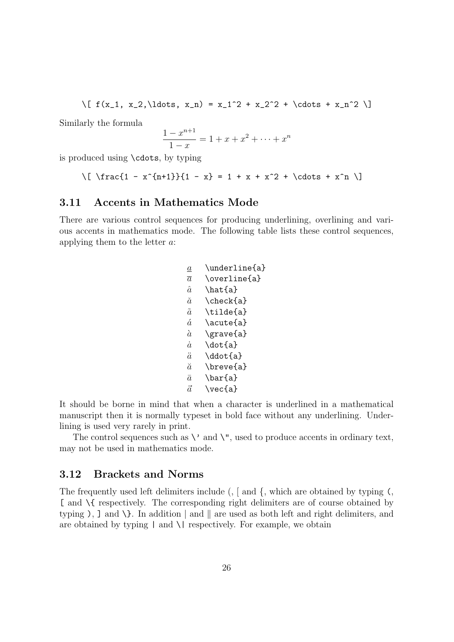$\[\int f(x_1, x_2, \ldots, x_n) = x_1^2 + x_2^2 + \cdots + x_n^2 \]\]$ 

Similarly the formula

$$
\frac{1 - x^{n+1}}{1 - x} = 1 + x + x^2 + \dots + x^n
$$

is produced using \cdots, by typing

\[ \frac{1 - x^{n+1}}{1 - x} = 1 + x + x^2 + \cdots + x^n \]

### 3.11 Accents in Mathematics Mode

There are various control sequences for producing underlining, overlining and various accents in mathematics mode. The following table lists these control sequences, applying them to the letter a:

| \underline{a} |
|---------------|
| \overline{a}  |
| \hat{a}       |
| \check{a}     |
| \tilde{a}     |
| \acute{a}     |
| \grave{a}     |
| \dot{a}       |
| \ddot{a}      |
| \breve{a}     |
| \bar{a}       |
| \vec{a}       |
|               |

It should be borne in mind that when a character is underlined in a mathematical manuscript then it is normally typeset in bold face without any underlining. Underlining is used very rarely in print.

The control sequences such as  $\setminus$  and  $\setminus$ ", used to produce accents in ordinary text, may not be used in mathematics mode.

### 3.12 Brackets and Norms

The frequently used left delimiters include (, [ and {, which are obtained by typing (, [ and \{ respectively. The corresponding right delimiters are of course obtained by typing), ] and \}. In addition  $\parallel$  and  $\parallel$  are used as both left and right delimiters, and are obtained by typing  $|$  and  $\setminus$  respectively. For example, we obtain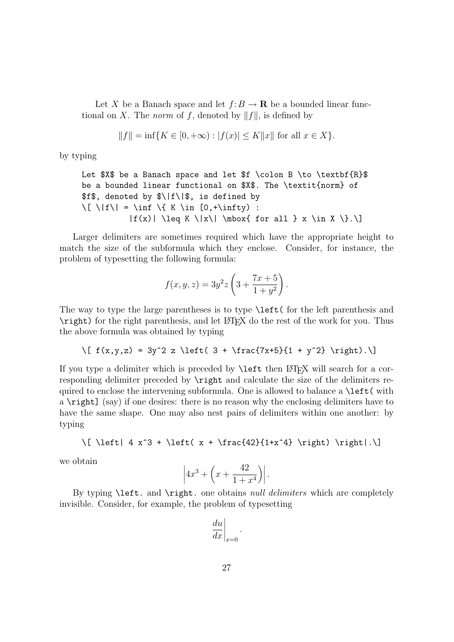Let X be a Banach space and let  $f: B \to \mathbf{R}$  be a bounded linear functional on X. The norm of f, denoted by  $||f||$ , is defined by

$$
||f|| = inf{K \in [0, +\infty) : |f(x)| \le K||x||}
$$
 for all  $x \in X$ .

by typing

Let  $X$$  be a Banach space and let  $f \cdot B \to \text{fR}$ be a bounded linear functional on \$X\$. The \textit{norm} of \$f\$, denoted by \$\|f\|\$, is defined by \[ \|f\| = \inf \{ K \in [0,+\infty) :  $|f(x)| \leq K \|x\| \bmod{$  for all  $x \in X \}.$ 

Larger delimiters are sometimes required which have the appropriate height to match the size of the subformula which they enclose. Consider, for instance, the problem of typesetting the following formula:

$$
f(x, y, z) = 3y^{2}z \left(3 + \frac{7x + 5}{1 + y^{2}}\right).
$$

The way to type the large parentheses is to type  $\left\{ \right\}$  for the left parenthesis and \right) for the right parenthesis, and let LATEX do the rest of the work for you. Thus the above formula was obtained by typing

$$
\{ f(x,y,z) = 3y^2 z \left( 3 + \frac{7x+5}{1 + y^2} \right). \}
$$

If you type a delimiter which is preceded by  $\left\{ \Delta E \right\}$  then ET<sub>E</sub>X will search for a corresponding delimiter preceded by \right and calculate the size of the delimiters required to enclose the intervening subformula. One is allowed to balance a \left( with a \right] (say) if one desires: there is no reason why the enclosing delimiters have to have the same shape. One may also nest pairs of delimiters within one another: by typing

```
\[\left| 4 x^3 + \left( x + \frac{42}{1+x^4} \right) \right|.\]
```
we obtain

$$
\left|4x^3 + \left(x + \frac{42}{1+x^4}\right)\right|.
$$

By typing \left. and \right. one obtains null delimiters which are completely invisible. Consider, for example, the problem of typesetting

$$
\left. \frac{du}{dx} \right|_{x=0}
$$

.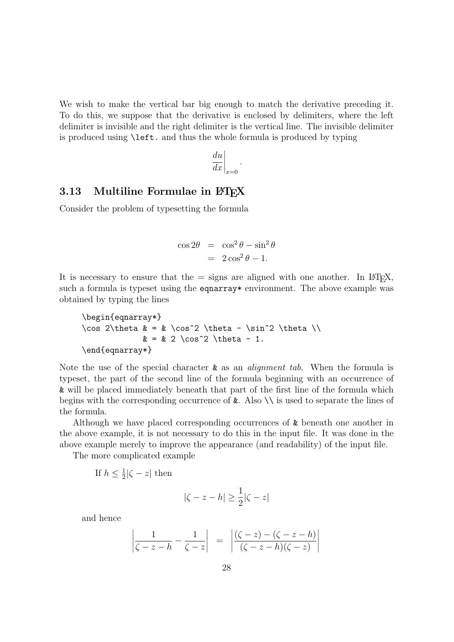We wish to make the vertical bar big enough to match the derivative preceding it. To do this, we suppose that the derivative is enclosed by delimiters, where the left delimiter is invisible and the right delimiter is the vertical line. The invisible delimiter is produced using \left. and thus the whole formula is produced by typing

$$
\left. \frac{du}{dx} \right|_{x=0}.
$$

### 3.13 Multiline Formulae in LAT<sub>EX</sub>

Consider the problem of typesetting the formula

$$
\cos 2\theta = \cos^2 \theta - \sin^2 \theta
$$

$$
= 2\cos^2 \theta - 1.
$$

It is necessary to ensure that the  $=$  signs are aligned with one another. In LATEX, such a formula is typeset using the eqnarray\* environment. The above example was obtained by typing the lines

\begin{eqnarray\*} \cos 2\theta & = & \cos^2 \theta - \sin^2 \theta \\ & = & 2 \cos^2 \theta - 1. \end{eqnarray\*}

Note the use of the special character  $\&$  as an *alignment tab*. When the formula is typeset, the part of the second line of the formula beginning with an occurrence of & will be placed immediately beneath that part of the first line of the formula which begins with the corresponding occurrence of &. Also \\ is used to separate the lines of the formula.

Although we have placed corresponding occurrences of & beneath one another in the above example, it is not necessary to do this in the input file. It was done in the above example merely to improve the appearance (and readability) of the input file.

The more complicated example

If 
$$
h \leq \frac{1}{2} |\zeta - z|
$$
 then

$$
|\zeta - z - h| \ge \frac{1}{2} |\zeta - z|
$$

and hence

$$
\left|\frac{1}{\zeta-z-h}-\frac{1}{\zeta-z}\right| = \left|\frac{(\zeta-z)-(\zeta-z-h)}{(\zeta-z-h)(\zeta-z)}\right|
$$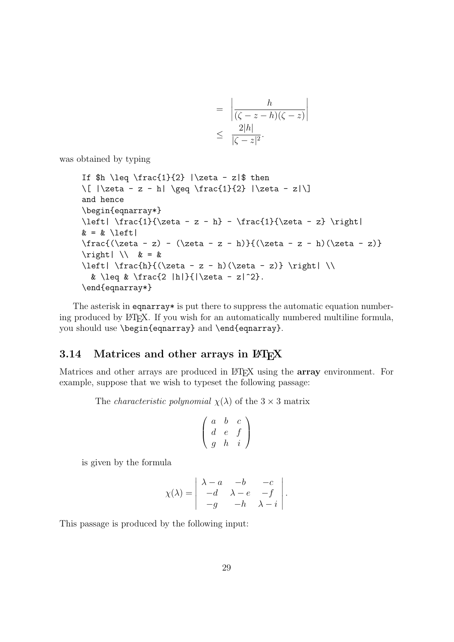$$
= \left| \frac{h}{(\zeta - z - h)(\zeta - z)} \right|
$$
  
 
$$
\leq \frac{2|h|}{|\zeta - z|^2}.
$$

was obtained by typing

If  $h \leq \frac{1}{2} \leq x - z$  then \[ |\zeta - z - h| \geq \frac{1}{2} |\zeta - z|\] and hence \begin{eqnarray\*} \left| \frac{1}{\zeta - z - h} - \frac{1}{\zeta - z} \right|  $& = \& \leq \text{left}$  $\frac{(\zeta - z) - (\zeta - z - h)}{(zeta - z - h)(zeta - z)}$  $\right| \ \ \& = \&$ \left| \frac{h}{(\zeta - z - h)(\zeta - z)} \right| \\ & \leq & \frac{2 |h|}{|\zeta - z|^2}. \end{eqnarray\*}

The asterisk in equarray\* is put there to suppress the automatic equation numbering produced by LAT<sub>EX</sub>. If you wish for an automatically numbered multiline formula, you should use \begin{eqnarray} and \end{eqnarray}.

### 3.14 Matrices and other arrays in  $\rm EFTK$

Matrices and other arrays are produced in LAT<sub>EX</sub> using the **array** environment. For example, suppose that we wish to typeset the following passage:

The *characteristic polynomial*  $\chi(\lambda)$  of the  $3 \times 3$  matrix

$$
\left(\begin{array}{ccc}a&b&c\\d&e&f\\g&h&i\end{array}\right)
$$

is given by the formula

$$
\chi(\lambda) = \begin{vmatrix}\lambda - a & -b & -c \\
-d & \lambda - e & -f \\
-g & -h & \lambda - i\n\end{vmatrix}.
$$

This passage is produced by the following input: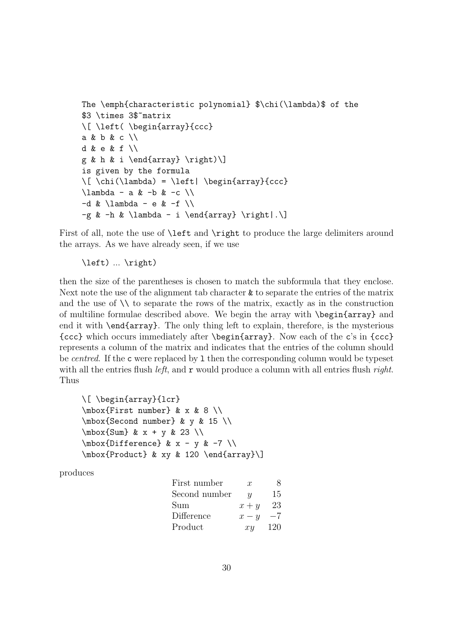```
The \emph{characteristic polynomial} $\chi(\lambda)$ of the
$3 \times 3$~matrix
\[ \left( \begin{array}{ccc}
a & b & c \\
d & e & f \\
g \& h \& i \end{array} \rightarrow \rrightis given by the formula
\[ \chi(\lambda) = \left| \begin{array}{ccc}
\lambda - a & -b & -c \lambda-d & \Lambda-g & -h & \lambda - i \end{array} \right|.\]
```
First of all, note the use of **\left** and **\right** to produce the large delimiters around the arrays. As we have already seen, if we use

\left) ... \right)

then the size of the parentheses is chosen to match the subformula that they enclose. Next note the use of the alignment tab character  $\⊂>$  to separate the entries of the matrix and the use of  $\setminus \setminus$  to separate the rows of the matrix, exactly as in the construction of multiline formulae described above. We begin the array with \begin{array} and end it with \end{array}. The only thing left to explain, therefore, is the mysterious {ccc} which occurs immediately after \begin{array}. Now each of the c's in {ccc} represents a column of the matrix and indicates that the entries of the column should be centred. If the c were replaced by l then the corresponding column would be typeset with all the entries flush *left*, and  $\mathbf r$  would produce a column with all entries flush *right*. Thus

```
\[ \begin{array}{lcr}
\mbox{First number} & x & 8 \\
\mbox{Second number} & y & 15 \\
\mbox{Sum} & x + y & 23 \\
\mbox{Difference} & x - y & -7 \\
\mbox{Product} & xy & 120 \end{array}\]
```
produces

| First number  | $\mathcal{X}$             | 8    |
|---------------|---------------------------|------|
| Second number | $\boldsymbol{\mathit{u}}$ | 15   |
| Sum           | $x + y$                   | 23   |
| Difference    | $x - y$                   | $-7$ |
| Product       | $x\overline{u}$           | 120  |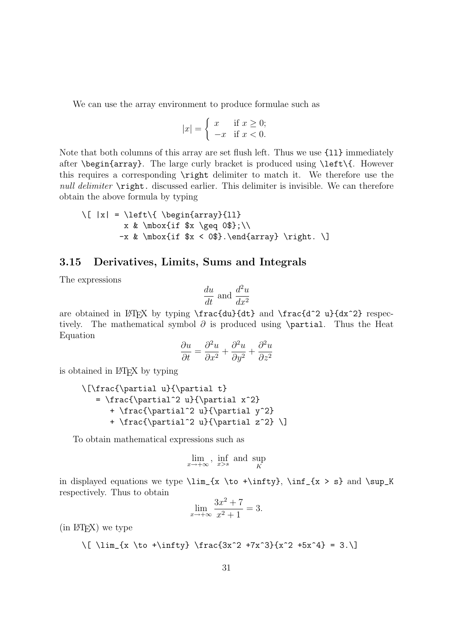We can use the array environment to produce formulae such as

$$
|x| = \begin{cases} x & \text{if } x \ge 0; \\ -x & \text{if } x < 0. \end{cases}
$$

Note that both columns of this array are set flush left. Thus we use {ll} immediately after \begin{array}. The large curly bracket is produced using  $\left\{\left\{.\right.\right.}$  However this requires a corresponding \right delimiter to match it. We therefore use the null delimiter \right. discussed earlier. This delimiter is invisible. We can therefore obtain the above formula by typing

\[ |x| = \left\{ \begin{array}{ll} x & \mbox{if \$x \geq 0\$};\\ -x & \mbox{if \$x < 0\$}.\end{array} \right. \]

### 3.15 Derivatives, Limits, Sums and Integrals

The expressions

$$
\frac{du}{dt} \text{ and } \frac{d^2u}{dx^2}
$$

are obtained in LATEX by typing  $\frac{du}{dt}$  and  $\frac{d^2 u}{dx^2}$  respectively. The mathematical symbol  $\partial$  is produced using \partial. Thus the Heat Equation

$$
\frac{\partial u}{\partial t} = \frac{\partial^2 u}{\partial x^2} + \frac{\partial^2 u}{\partial y^2} + \frac{\partial^2 u}{\partial z^2}
$$

is obtained in LATEX by typing

```
\[\frac{\partial u}{\partial t}
  = \frac{\partial^2 u}{\partial x^2}+ \frac{\partial^2 u}{\partial y^2}
     + \frac{\partial^2 u}{\partial z^2} \]
```
To obtain mathematical expressions such as

$$
\lim_{x \to +\infty}, \inf_{x > s} \text{ and } \sup_{K}
$$

in displayed equations we type  $\lim_{x \to +\infty}$ ,  $\inf_{x > s}$  and  $\sup_{K}$ respectively. Thus to obtain

$$
\lim_{x \to +\infty} \frac{3x^2 + 7}{x^2 + 1} = 3.
$$

 $(in$   $\angle$  ET<sub>E</sub>X $)$  we type

```
\[ \lim_{x \to +\infty} \frac{3x^2 +7x^3}{x^2 +5x^4} = 3.\]
```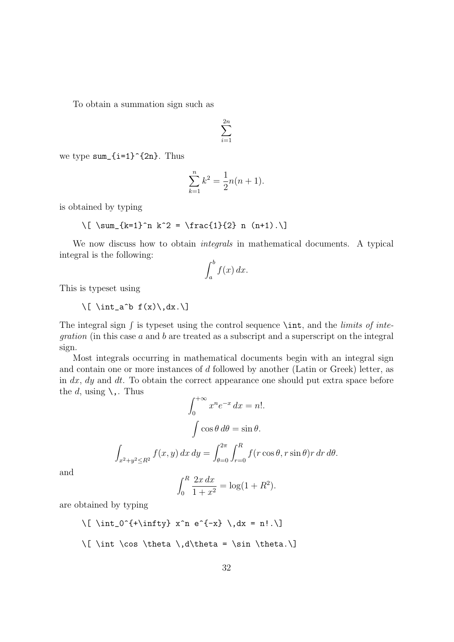To obtain a summation sign such as

$$
\sum_{i=1}^{2n}
$$

we type  $sum_{i=1}^{i=1}^{2}$  (2n). Thus

$$
\sum_{k=1}^{n} k^2 = \frac{1}{2}n(n+1).
$$

is obtained by typing

$$
\[\ \ \sum_{k=1}^n k^2 = \frac{1}{2} n (n+1) .\]\]
$$

We now discuss how to obtain *integrals* in mathematical documents. A typical integral is the following:

$$
\int_a^b f(x) \, dx.
$$

This is typeset using

 $\[\int \int \int \text{a^b } f(x) \, dx\]$ 

The integral sign  $\int$  is typeset using the control sequence  $\int$  int, and the *limits of inte*gration (in this case a and b are treated as a subscript and a superscript on the integral sign.

Most integrals occurring in mathematical documents begin with an integral sign and contain one or more instances of d followed by another (Latin or Greek) letter, as in  $dx$ ,  $dy$  and  $dt$ . To obtain the correct appearance one should put extra space before the d, using  $\setminus$ . Thus

$$
\int_0^{+\infty} x^n e^{-x} dx = n!.
$$

$$
\int \cos \theta d\theta = \sin \theta.
$$

$$
\int_{x^2 + y^2 \le R^2} f(x, y) dx dy = \int_{\theta=0}^{2\pi} \int_{r=0}^R f(r \cos \theta, r \sin \theta) r dr d\theta.
$$

and

$$
\int_0^R \frac{2x \, dx}{1 + x^2} = \log(1 + R^2).
$$

are obtained by typing

 $\[\int \int_0^{\frac{+}{\infty}} x^n e^{-x} \, dx = n!.\]$ \[ \int \cos \theta \,d\theta = \sin \theta.\]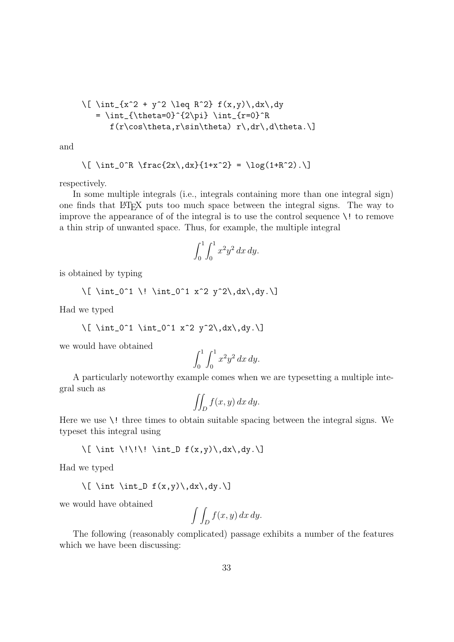$$
\{ \int_{x^2 + y^2 \le R^2} f(x,y) \, dx \, dy = \int_{\theta=0}^{2\pi} \int_{r=0}^R f(r\cos\theta, r\sin\theta) r, dr, d\theta. \}
$$

and

$$
\[ \int_0^R \frac{2x}{dx} + x^2 = \log(1 + R^2) . \]
$$

respectively.

In some multiple integrals (i.e., integrals containing more than one integral sign) one finds that LATEX puts too much space between the integral signs. The way to improve the appearance of of the integral is to use the control sequence \! to remove a thin strip of unwanted space. Thus, for example, the multiple integral

$$
\int_0^1 \int_0^1 x^2 y^2 dx dy.
$$

is obtained by typing

$$
\[ \int_0^1 \! \int_0^1 x^2 y^2\, dx\, dy. \]
$$

Had we typed

$$
\[ \int_0^1 \int_0^1 x^2 y^2\, dx\, dy. \]
$$

we would have obtained

$$
\int_0^1 \int_0^1 x^2 y^2 dx dy.
$$

A particularly noteworthy example comes when we are typesetting a multiple integral such as

$$
\iint_D f(x, y) \, dx \, dy.
$$

Here we use \! three times to obtain suitable spacing between the integral signs. We typeset this integral using

$$
\{ \int \int \left| \int \int D f(x,y) \, dx \, dy \, \}
$$

Had we typed

$$
\{ \int \int \int D f(x,y) \, dx \, dy \}
$$

we would have obtained

$$
\int \int_D f(x, y) \, dx \, dy.
$$

The following (reasonably complicated) passage exhibits a number of the features which we have been discussing: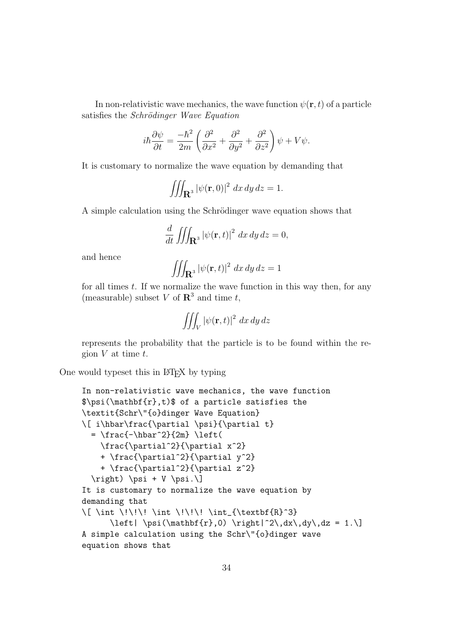In non-relativistic wave mechanics, the wave function  $\psi(\mathbf{r},t)$  of a particle satisfies the *Schrödinger Wave Equation* 

$$
i\hbar \frac{\partial \psi}{\partial t} = \frac{-\hbar^2}{2m} \left( \frac{\partial^2}{\partial x^2} + \frac{\partial^2}{\partial y^2} + \frac{\partial^2}{\partial z^2} \right) \psi + V \psi.
$$

It is customary to normalize the wave equation by demanding that

$$
\iiint_{\mathbf{R}^3} |\psi(\mathbf{r}, 0)|^2 dx dy dz = 1.
$$

A simple calculation using the Schrödinger wave equation shows that

$$
\frac{d}{dt} \iiint_{\mathbf{R}^3} |\psi(\mathbf{r},t)|^2 dx dy dz = 0,
$$

and hence

$$
\iiint_{\mathbf{R}^3} |\psi(\mathbf{r},t)|^2 dx dy dz = 1
$$

for all times  $t$ . If we normalize the wave function in this way then, for any (measurable) subset V of  $\mathbb{R}^3$  and time t,

$$
\iiint_V |\psi(\mathbf{r},t)|^2 dx dy dz
$$

represents the probability that the particle is to be found within the region  $V$  at time  $t$ .

One would typeset this in LAT<sub>EX</sub> by typing

```
In non-relativistic wave mechanics, the wave function
$\psi(\mathbf{r},t)$ of a particle satisfies the
\textit{Schr\"{o}dinger Wave Equation}
\[ i\hbar\frac{\partial \psi}{\partial t}
 = \frac{-\hbar^2}{2m} \left(\frac{\partial^2}{\partial x^2}
   + \frac{\partial^2}{\partial y^2}
   + \frac{\partial^2}{\partial z^2}
 \right) \psi + V \psi.It is customary to normalize the wave equation by
demanding that
\[ \int \!\!\! \int \!\!\! \int_{\textbf{R}^3}
     \left| \psi(\mathbf{r},0) \right|^2\,dx\,dy\,dz = 1.\]
A simple calculation using the Schr\"{o}dinger wave
equation shows that
```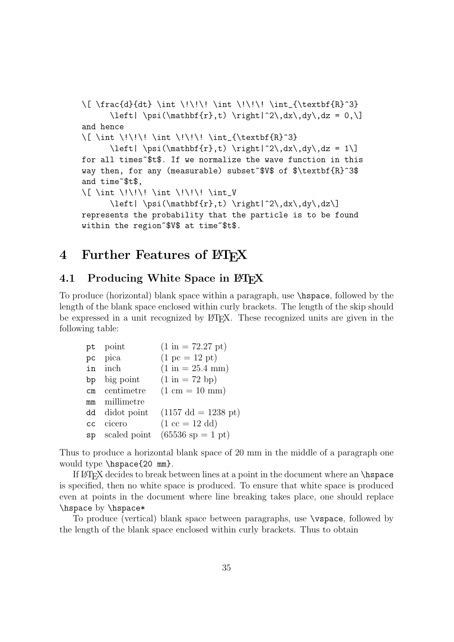\[ \frac{d}{dt} \int \!\!\! \int \!\!\! \int\_{\textbf{R}^3} \left| \psi(\mathbf{r},t) \right|^2\,dx\,dy\,dz = 0,\] and hence  $\[\ \int \|\n\| \cdot \|\cdot \| \cdot \|\cdot \cdot \cdot \cdot f(R)^3\|$ \left| \psi(\mathbf{r},t) \right|^2\,dx\,dy\,dz = 1\] for all times~\$t\$. If we normalize the wave function in this way then, for any (measurable) subset~\$V\$ of \$\textbf{R}^3\$ and time~\$t\$, \[ \int \!\!\! \int \!\!\! \int\_V \left| \psi(\mathbf{r},t) \right|^2\,dx\,dy\,dz\] represents the probability that the particle is to be found within the region~\$V\$ at time~\$t\$.

## 4 Further Features of LAT<sub>EX</sub>

### 4.1 Producing White Space in LAT<sub>EX</sub>

To produce (horizontal) blank space within a paragraph, use \hspace, followed by the length of the blank space enclosed within curly brackets. The length of the skip should be expressed in a unit recognized by LATEX. These recognized units are given in the following table:

| pt | point           | $(1 \text{ in} = 72.27 \text{ pt})$   |
|----|-----------------|---------------------------------------|
| pc | pica            | $(1 pc = 12 pt)$                      |
| in | inch            | $(1 \text{ in} = 25.4 \text{ mm})$    |
| bp | big point       | $(1 \text{ in} = 72 \text{ bp})$      |
|    | cm centimetre   | $(1 cm = 10 mm)$                      |
| mm | millimetre      |                                       |
| dd | did ot point    | $(1157 \text{ dd} = 1238 \text{ pt})$ |
| cc | cicero          | $(1 \csc = 12 \text{ dd})$            |
|    | sp scaled point | $(65536 \text{ sp} = 1 \text{ pt})$   |

Thus to produce a horizontal blank space of 20 mm in the middle of a paragraph one would type \hspace{20 mm}.

If  $\LaTeX$  decides to break between lines at a point in the document where an  $\hbox{\texttt{BPR}}$ is specified, then no white space is produced. To ensure that white space is produced even at points in the document where line breaking takes place, one should replace \hspace by \hspace\*

To produce (vertical) blank space between paragraphs, use \vspace, followed by the length of the blank space enclosed within curly brackets. Thus to obtain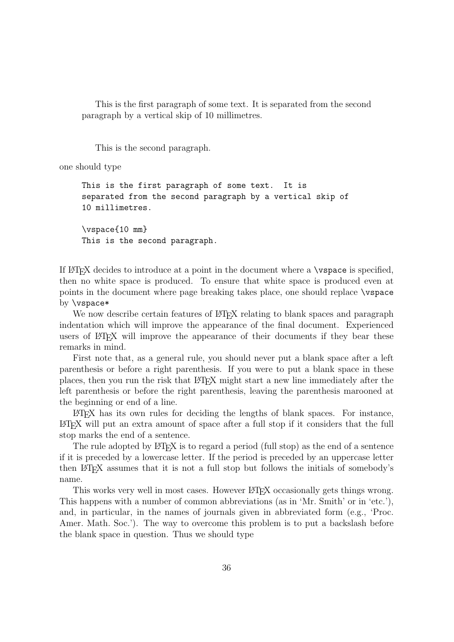This is the first paragraph of some text. It is separated from the second paragraph by a vertical skip of 10 millimetres.

This is the second paragraph.

one should type

This is the first paragraph of some text. It is separated from the second paragraph by a vertical skip of 10 millimetres.

\vspace{10 mm} This is the second paragraph.

If LAT<sub>EX</sub> decides to introduce at a point in the document where a **\vspace** is specified, then no white space is produced. To ensure that white space is produced even at points in the document where page breaking takes place, one should replace \vspace by \vspace\*

We now describe certain features of LATEX relating to blank spaces and paragraph indentation which will improve the appearance of the final document. Experienced users of LAT<sub>EX</sub> will improve the appearance of their documents if they bear these remarks in mind.

First note that, as a general rule, you should never put a blank space after a left parenthesis or before a right parenthesis. If you were to put a blank space in these places, then you run the risk that LATEX might start a new line immediately after the left parenthesis or before the right parenthesis, leaving the parenthesis marooned at the beginning or end of a line.

LATEX has its own rules for deciding the lengths of blank spaces. For instance, LATEX will put an extra amount of space after a full stop if it considers that the full stop marks the end of a sentence.

The rule adopted by LATEX is to regard a period (full stop) as the end of a sentence if it is preceded by a lowercase letter. If the period is preceded by an uppercase letter then LATEX assumes that it is not a full stop but follows the initials of somebody's name.

This works very well in most cases. However LATEX occasionally gets things wrong. This happens with a number of common abbreviations (as in 'Mr. Smith' or in 'etc.'), and, in particular, in the names of journals given in abbreviated form (e.g., 'Proc. Amer. Math. Soc.'). The way to overcome this problem is to put a backslash before the blank space in question. Thus we should type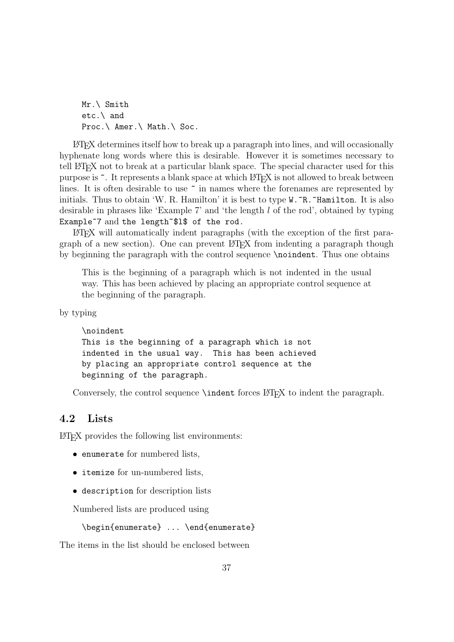Mr.\ Smith etc.\ and Proc. \ Amer. \ Math. \ Soc.

LATEX determines itself how to break up a paragraph into lines, and will occasionally hyphenate long words where this is desirable. However it is sometimes necessary to tell LATEX not to break at a particular blank space. The special character used for this purpose is  $\tilde{\phantom{a}}$ . It represents a blank space at which LAT<sub>E</sub>X is not allowed to break between lines. It is often desirable to use  $\tilde{\ }$  in names where the forenames are represented by initials. Thus to obtain 'W. R. Hamilton' it is best to type  $W.\tilde{R}$ . "Hamilton. It is also desirable in phrases like 'Example 7' and 'the length l of the rod', obtained by typing Example<sup>~7</sup> and the length<sup>~\$1\$</sup> of the rod.

LATEX will automatically indent paragraphs (with the exception of the first paragraph of a new section). One can prevent LAT<sub>EX</sub> from indenting a paragraph though by beginning the paragraph with the control sequence \noindent. Thus one obtains

This is the beginning of a paragraph which is not indented in the usual way. This has been achieved by placing an appropriate control sequence at the beginning of the paragraph.

by typing

```
\noindent
This is the beginning of a paragraph which is not
indented in the usual way. This has been achieved
by placing an appropriate control sequence at the
beginning of the paragraph.
```
Conversely, the control sequence \indent forces LATEX to indent the paragraph.

### 4.2 Lists

LATEX provides the following list environments:

- enumerate for numbered lists,
- itemize for un-numbered lists,
- description for description lists

Numbered lists are produced using

```
\begin{enumerate} ... \end{enumerate}
```
The items in the list should be enclosed between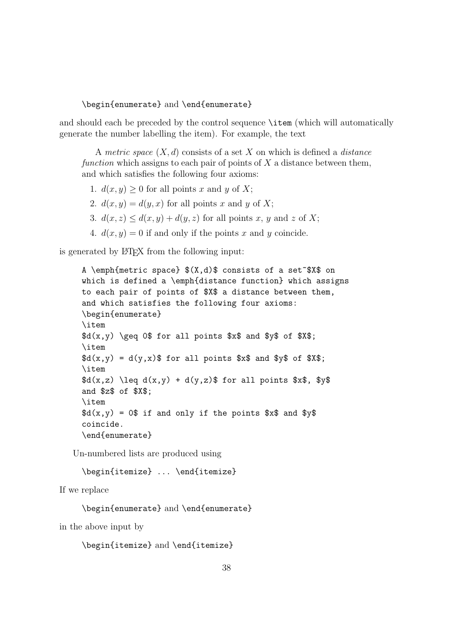#### \begin{enumerate} and \end{enumerate}

and should each be preceded by the control sequence  $\iota$  (which will automatically generate the number labelling the item). For example, the text

A metric space  $(X, d)$  consists of a set X on which is defined a *distance* function which assigns to each pair of points of  $X$  a distance between them, and which satisfies the following four axioms:

- 1.  $d(x, y) \geq 0$  for all points x and y of X;
- 2.  $d(x, y) = d(y, x)$  for all points x and y of X;
- 3.  $d(x, z) \leq d(x, y) + d(y, z)$  for all points x, y and z of X;
- 4.  $d(x, y) = 0$  if and only if the points x and y coincide.

is generated by  $\mathbb{F} \mathbb{F} \mathbb{F} \mathbb{F}$  from the following input:

A \emph{metric space}  $(x,d)$ \$ consists of a set~\$X\$ on which is defined a \emph{distance function} which assigns to each pair of points of \$X\$ a distance between them, and which satisfies the following four axioms: \begin{enumerate} \item  $d(x,y)$  \geq 0\$ for all points \$x\$ and \$y\$ of \$X\$; \item  $d(x,y) = d(y,x)$  for all points  $x \$  and  $y \$  of  $x \$ ; \item  $d(x,z)$  \leq  $d(x,y) + d(y,z)$ \$ for all points \$x\$, \$y\$ and \$z\$ of \$X\$; \item  $d(x,y) = 0$  if and only if the points  $x \$  and  $y \$ coincide. \end{enumerate}

Un-numbered lists are produced using

```
\begin{itemize} ... \end{itemize}
```
If we replace

```
\begin{enumerate} and \end{enumerate}
```
in the above input by

```
\begin{itemize} and \end{itemize}
```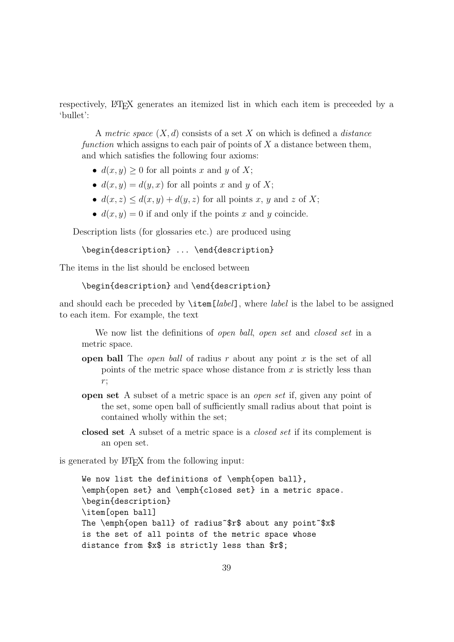respectively, LAT<sub>EX</sub> generates an itemized list in which each item is preceeded by a 'bullet':

A metric space  $(X, d)$  consists of a set X on which is defined a *distance* function which assigns to each pair of points of  $X$  a distance between them, and which satisfies the following four axioms:

- $d(x, y) \geq 0$  for all points x and y of X;
- $d(x, y) = d(y, x)$  for all points x and y of X;
- $d(x, z) \leq d(x, y) + d(y, z)$  for all points x, y and z of X;
- $d(x, y) = 0$  if and only if the points x and y coincide.

Description lists (for glossaries etc.) are produced using

```
\begin{description} ... \end{description}
```
The items in the list should be enclosed between

```
\begin{description} and \end{description}
```
and should each be preceded by  $\iota$  item[*label*], where *label* is the label to be assigned to each item. For example, the text

We now list the definitions of *open ball*, *open set* and *closed set* in a metric space.

- **open ball** The *open ball* of radius r about any point x is the set of all points of the metric space whose distance from  $x$  is strictly less than r;
- open set A subset of a metric space is an open set if, given any point of the set, some open ball of sufficiently small radius about that point is contained wholly within the set;
- closed set A subset of a metric space is a closed set if its complement is an open set.

is generated by  $\mathbb{F}$ F<sub>F</sub>X from the following input:

We now list the definitions of \emph{open ball}, \emph{open set} and \emph{closed set} in a metric space. \begin{description} \item[open ball] The \emph{open ball} of radius~\$r\$ about any point~\$x\$ is the set of all points of the metric space whose distance from \$x\$ is strictly less than \$r\$;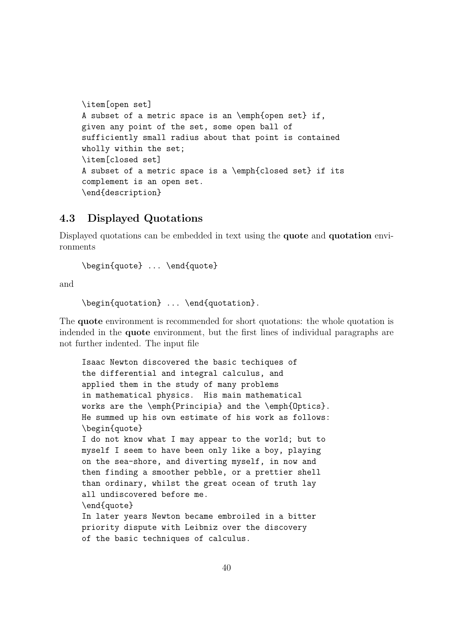```
\item[open set]
A subset of a metric space is an \emph{open set} if,
given any point of the set, some open ball of
sufficiently small radius about that point is contained
wholly within the set;
\item[closed set]
A subset of a metric space is a \emph{closed set} if its
complement is an open set.
\end{description}
```
### 4.3 Displayed Quotations

Displayed quotations can be embedded in text using the quote and quotation environments

```
\begin{quote} ... \end{quote}
```
and

```
\begin{quotation} ... \end{quotation}.
```
The quote environment is recommended for short quotations: the whole quotation is indended in the quote environment, but the first lines of individual paragraphs are not further indented. The input file

```
Isaac Newton discovered the basic techiques of
the differential and integral calculus, and
applied them in the study of many problems
in mathematical physics. His main mathematical
works are the \emph{Principia} and the \emph{Optics}.
He summed up his own estimate of his work as follows:
\begin{quote}
I do not know what I may appear to the world; but to
myself I seem to have been only like a boy, playing
on the sea-shore, and diverting myself, in now and
then finding a smoother pebble, or a prettier shell
than ordinary, whilst the great ocean of truth lay
all undiscovered before me.
\end{quote}
In later years Newton became embroiled in a bitter
priority dispute with Leibniz over the discovery
of the basic techniques of calculus.
```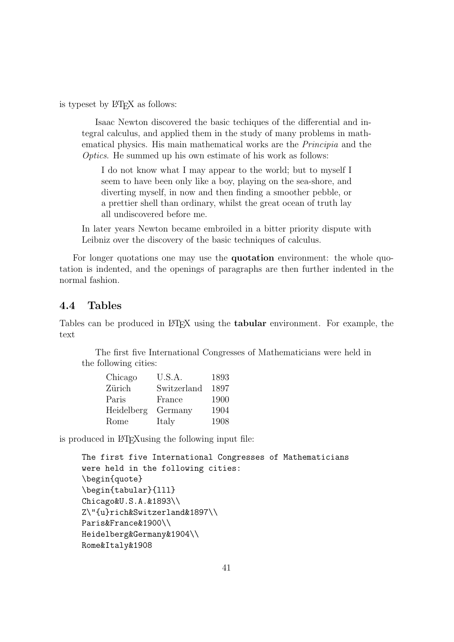is typeset by  $\mathbb{F}$ F<sub>F</sub>X as follows:

Isaac Newton discovered the basic techiques of the differential and integral calculus, and applied them in the study of many problems in mathematical physics. His main mathematical works are the Principia and the Optics. He summed up his own estimate of his work as follows:

I do not know what I may appear to the world; but to myself I seem to have been only like a boy, playing on the sea-shore, and diverting myself, in now and then finding a smoother pebble, or a prettier shell than ordinary, whilst the great ocean of truth lay all undiscovered before me.

In later years Newton became embroiled in a bitter priority dispute with Leibniz over the discovery of the basic techniques of calculus.

For longer quotations one may use the **quotation** environment: the whole quotation is indented, and the openings of paragraphs are then further indented in the normal fashion.

### 4.4 Tables

Tables can be produced in LATEX using the **tabular** environment. For example, the text

The first five International Congresses of Mathematicians were held in the following cities:

| Chicago    | U.S.A.      | 1893 |
|------------|-------------|------|
| Zürich     | Switzerland | 1897 |
| Paris      | France      | 1900 |
| Heidelberg | Germany     | 1904 |
| Rome       | Italy       | 1908 |

is produced in LAT<sub>E</sub>Xusing the following input file:

```
The first five International Congresses of Mathematicians
were held in the following cities:
\begin{quote}
\begin{tabular}{lll}
Chicago&U.S.A.&1893\\
Z\"{u}rich&Switzerland&1897\\
Paris&France&1900\\
Heidelberg&Germany&1904\\
Rome&Italy&1908
```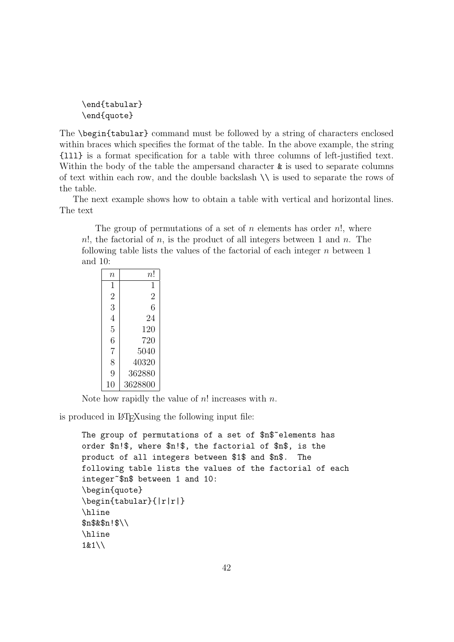```
\end{tabular}
\end{quote}
```
The \begin{tabular} command must be followed by a string of characters enclosed within braces which specifies the format of the table. In the above example, the string {lll} is a format specification for a table with three columns of left-justified text. Within the body of the table the ampersand character  $\&$  is used to separate columns of text within each row, and the double backslash \\ is used to separate the rows of the table.

The next example shows how to obtain a table with vertical and horizontal lines. The text

The group of permutations of a set of n elements has order  $n!$ , where n!, the factorial of n, is the product of all integers between 1 and n. The following table lists the values of the factorial of each integer  $n$  between 1 and 10:

| $\it n$ | n!      |
|---------|---------|
| 1       | 1       |
| 2       | 2       |
| 3       | 6       |
| 4       | 24      |
| 5       | 120     |
| 6       | 720     |
| 7       | 5040    |
| 8       | 40320   |
| 9       | 362880  |
| 10      | 3628800 |

Note how rapidly the value of  $n!$  increases with  $n$ .

is produced in LAT<sub>E</sub>Xusing the following input file:

```
The group of permutations of a set of $n$~elements has
order $n!$, where $n!$, the factorial of $n$, is the
product of all integers between $1$ and $n$. The
following table lists the values of the factorial of each
integer~$n$ between 1 and 10:
\begin{quote}
\begin{tabular}{|r|r|}
\hline
$n$&$n!$\\
\hline
1&1\\
```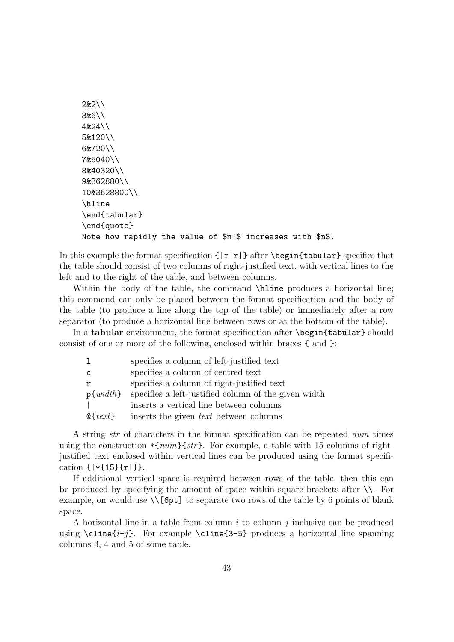```
2&2\\
3&6\\
4&24\\
5&120\\
6&720\\
7&5040\\
8&40320\\
9&362880\\
10&3628800\\
\hline
\end{tabular}
\end{quote}
Note how rapidly the value of $n!$ increases with $n$.
```
In this example the format specification  $\{|\mathbf{r}|\mathbf{r}|\}$  after  $\begin{cases} \Delta \mathbf{r} = \Delta \mathbf{r} \end{cases}$  specifies that the table should consist of two columns of right-justified text, with vertical lines to the left and to the right of the table, and between columns.

Within the body of the table, the command \hline produces a horizontal line; this command can only be placed between the format specification and the body of the table (to produce a line along the top of the table) or immediately after a row separator (to produce a horizontal line between rows or at the bottom of the table).

In a tabular environment, the format specification after \begin{tabular} should consist of one or more of the following, enclosed within braces { and }:

| 1         | specifies a column of left-justified text                       |
|-----------|-----------------------------------------------------------------|
| C         | specifies a column of centred text                              |
| r         | specifies a column of right-justified text                      |
|           | $p{width}$ specifies a left-justified column of the given width |
|           | inserts a vertical line between columns                         |
| $@{text}$ | inserts the given <i>text</i> between columns                   |

A string str of characters in the format specification can be repeated num times using the construction  $\ast \{num\}\{str\}.$  For example, a table with 15 columns of rightjustified text enclosed within vertical lines can be produced using the format specification  $\{|\ast\{15\} \{r|\}\}.$ 

If additional vertical space is required between rows of the table, then this can be produced by specifying the amount of space within square brackets after  $\setminus\$ . For example, on would use  $\{\Theta$ t oseparate two rows of the table by 6 points of blank space.

A horizontal line in a table from column  $i$  to column  $j$  inclusive can be produced using  $\chi_i$ . For example  $\chi_i$  for  $\chi_i$  produces a horizontal line spanning columns 3, 4 and 5 of some table.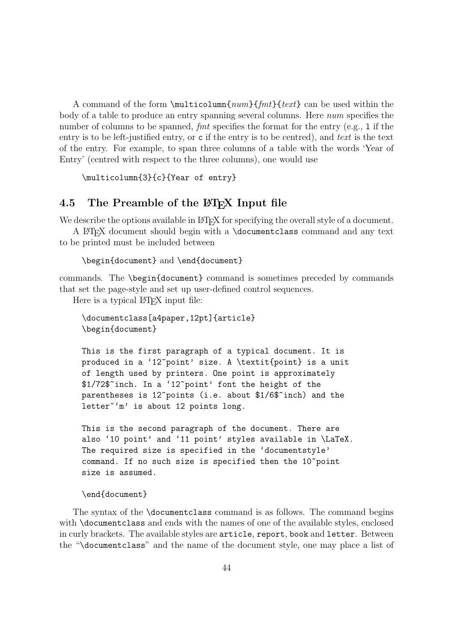A command of the form  $\mu_1$ ulticolumn{num}{ $\{fmt\}$ {text} can be used within the body of a table to produce an entry spanning several columns. Here num specifies the number of columns to be spanned, fmt specifies the format for the entry (e.g., 1 if the entry is to be left-justified entry, or c if the entry is to be centred), and text is the text of the entry. For example, to span three columns of a table with the words 'Year of Entry' (centred with respect to the three columns), one would use

\multicolumn{3}{c}{Year of entry}

### 4.5 The Preamble of the LAT<sub>E</sub>X Input file

We describe the options available in LATEX for specifying the overall style of a document.

A LATEX document should begin with a \documentclass command and any text to be printed must be included between

#### \begin{document} and \end{document}

commands. The \begin{document} command is sometimes preceded by commands that set the page-style and set up user-defined control sequences.

Here is a typical LAT<sub>E</sub>X input file:

```
\documentclass[a4paper,12pt]{article}
\begin{document}
```
This is the first paragraph of a typical document. It is produced in a '12~point' size. A \textit{point} is a unit of length used by printers. One point is approximately \$1/72\$~inch. In a '12~point' font the height of the parentheses is 12~points (i.e. about \$1/6\$~inch) and the letter<sup>"'m</sup>' is about 12 points long.

This is the second paragraph of the document. There are also '10 point' and '11 point' styles available in \LaTeX. The required size is specified in the 'documentstyle' command. If no such size is specified then the 10 point size is assumed.

#### \end{document}

The syntax of the \documentclass command is as follows. The command begins with \documentclass and ends with the names of one of the available styles, enclosed in curly brackets. The available styles are article, report, book and letter. Between the "\documentclass" and the name of the document style, one may place a list of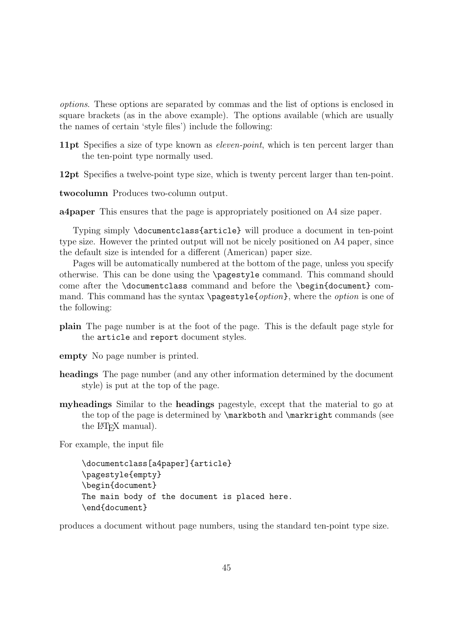options. These options are separated by commas and the list of options is enclosed in square brackets (as in the above example). The options available (which are usually the names of certain 'style files') include the following:

11pt Specifies a size of type known as *eleven-point*, which is ten percent larger than the ten-point type normally used.

12pt Specifies a twelve-point type size, which is twenty percent larger than ten-point.

twocolumn Produces two-column output.

a4paper This ensures that the page is appropriately positioned on A4 size paper.

Typing simply \documentclass{article} will produce a document in ten-point type size. However the printed output will not be nicely positioned on A4 paper, since the default size is intended for a different (American) paper size.

Pages will be automatically numbered at the bottom of the page, unless you specify otherwise. This can be done using the \pagestyle command. This command should come after the \documentclass command and before the \begin{document} command. This command has the syntax  $\pagestyle{option}$ , where the *option* is one of the following:

plain The page number is at the foot of the page. This is the default page style for the article and report document styles.

empty No page number is printed.

- headings The page number (and any other information determined by the document style) is put at the top of the page.
- myheadings Similar to the headings pagestyle, except that the material to go at the top of the page is determined by  $\mark$ narkboth and  $\mark$ markright commands (see the L<sup>AT</sup><sub>EX</sub> manual).

For example, the input file

```
\documentclass[a4paper]{article}
\pagestyle{empty}
\begin{document}
The main body of the document is placed here.
\end{document}
```
produces a document without page numbers, using the standard ten-point type size.